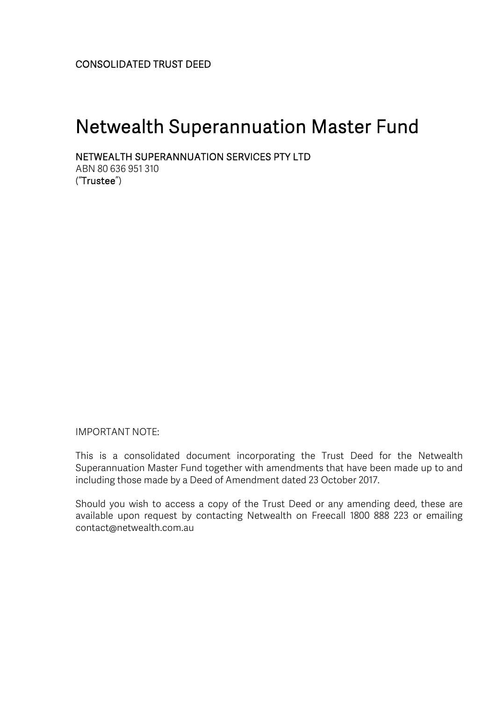# Netwealth Superannuation Master Fund

NETWEALTH SUPERANNUATION SERVICES PTY LTD

ABN 80 636 951 310 ("Trustee")

IMPORTANT NOTE:

This is a consolidated document incorporating the Trust Deed for the Netwealth Superannuation Master Fund together with amendments that have been made up to and including those made by a Deed of Amendment dated 23 October 2017.

Should you wish to access a copy of the Trust Deed or any amending deed, these are available upon request by contacting Netwealth on Freecall 1800 888 223 or emailing contact@netwealth.com.au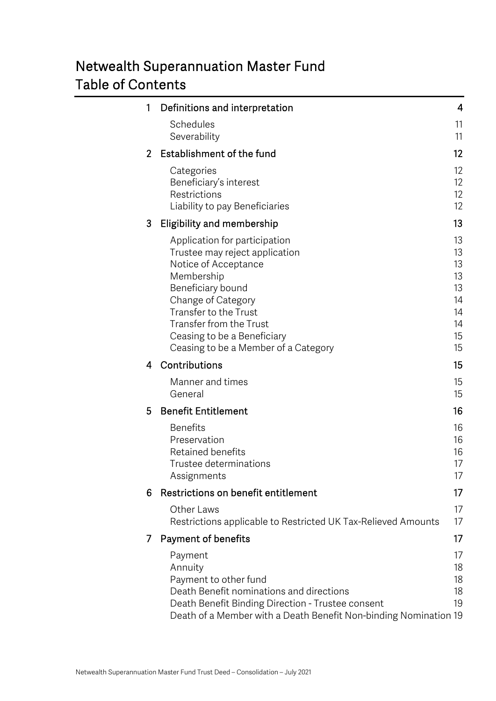# Netwealth Superannuation Master Fund Table of Contents

| 1              | Definitions and interpretation                                                                                                                                                                                                                                                     | 4                                                        |
|----------------|------------------------------------------------------------------------------------------------------------------------------------------------------------------------------------------------------------------------------------------------------------------------------------|----------------------------------------------------------|
|                | Schedules<br>Severability                                                                                                                                                                                                                                                          | 11<br>11                                                 |
| $\overline{2}$ | Establishment of the fund                                                                                                                                                                                                                                                          | 12                                                       |
|                | Categories<br>Beneficiary's interest<br>Restrictions<br>Liability to pay Beneficiaries                                                                                                                                                                                             | 12<br>12<br>12<br>12                                     |
| 3              | Eligibility and membership                                                                                                                                                                                                                                                         | 13                                                       |
|                | Application for participation<br>Trustee may reject application<br>Notice of Acceptance<br>Membership<br>Beneficiary bound<br>Change of Category<br><b>Transfer to the Trust</b><br>Transfer from the Trust<br>Ceasing to be a Beneficiary<br>Ceasing to be a Member of a Category | 13<br>13<br>13<br>13<br>13<br>14<br>14<br>14<br>15<br>15 |
| 4              | Contributions                                                                                                                                                                                                                                                                      | 15                                                       |
|                | Manner and times<br>General                                                                                                                                                                                                                                                        | 15<br>15                                                 |
| 5              | <b>Benefit Entitlement</b>                                                                                                                                                                                                                                                         | 16                                                       |
|                | <b>Benefits</b><br>Preservation<br>Retained benefits<br>Trustee determinations<br>Assignments                                                                                                                                                                                      | 16<br>16<br>16<br>17<br>17                               |
| 6              | Restrictions on benefit entitlement                                                                                                                                                                                                                                                | 17                                                       |
|                | Other Laws<br>Restrictions applicable to Restricted UK Tax-Relieved Amounts                                                                                                                                                                                                        | 17<br>17                                                 |
| 7              | <b>Payment of benefits</b>                                                                                                                                                                                                                                                         | 17                                                       |
|                | Payment<br>Annuity<br>Payment to other fund<br>Death Benefit nominations and directions<br>Death Benefit Binding Direction - Trustee consent<br>Death of a Member with a Death Benefit Non-binding Nomination 19                                                                   | 17<br>18<br>18<br>18<br>19                               |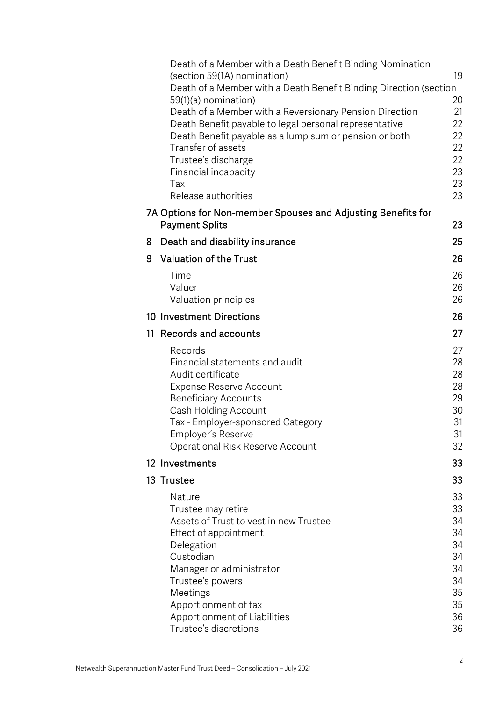|    | Death of a Member with a Death Benefit Binding Nomination<br>(section 59(1A) nomination)<br>Death of a Member with a Death Benefit Binding Direction (section<br>59(1)(a) nomination)<br>Death of a Member with a Reversionary Pension Direction<br>Death Benefit payable to legal personal representative<br>Death Benefit payable as a lump sum or pension or both<br>Transfer of assets<br>Trustee's discharge<br>Financial incapacity<br>Tax<br>Release authorities<br>7A Options for Non-member Spouses and Adjusting Benefits for | 19<br>20<br>21<br>22<br>22<br>22<br>22<br>23<br>23<br>23             |
|----|-----------------------------------------------------------------------------------------------------------------------------------------------------------------------------------------------------------------------------------------------------------------------------------------------------------------------------------------------------------------------------------------------------------------------------------------------------------------------------------------------------------------------------------------|----------------------------------------------------------------------|
|    | <b>Payment Splits</b>                                                                                                                                                                                                                                                                                                                                                                                                                                                                                                                   | 23                                                                   |
| 8  | Death and disability insurance                                                                                                                                                                                                                                                                                                                                                                                                                                                                                                          | 25                                                                   |
| 9  | <b>Valuation of the Trust</b>                                                                                                                                                                                                                                                                                                                                                                                                                                                                                                           | 26                                                                   |
|    | Time<br>Valuer<br>Valuation principles                                                                                                                                                                                                                                                                                                                                                                                                                                                                                                  | 26<br>26<br>26                                                       |
|    | 10 Investment Directions                                                                                                                                                                                                                                                                                                                                                                                                                                                                                                                | 26                                                                   |
| 11 | Records and accounts                                                                                                                                                                                                                                                                                                                                                                                                                                                                                                                    | 27                                                                   |
|    | Records<br>Financial statements and audit<br>Audit certificate<br>Expense Reserve Account<br><b>Beneficiary Accounts</b><br>Cash Holding Account<br>Tax - Employer-sponsored Category<br>Employer's Reserve<br>Operational Risk Reserve Account                                                                                                                                                                                                                                                                                         | 27<br>28<br>28<br>28<br>29<br>30<br>31<br>31<br>32                   |
|    | 12 Investments                                                                                                                                                                                                                                                                                                                                                                                                                                                                                                                          | 33                                                                   |
|    | 13 Trustee                                                                                                                                                                                                                                                                                                                                                                                                                                                                                                                              | 33                                                                   |
|    | Nature<br>Trustee may retire<br>Assets of Trust to vest in new Trustee<br>Effect of appointment<br>Delegation<br>Custodian<br>Manager or administrator<br>Trustee's powers<br>Meetings<br>Apportionment of tax<br>Apportionment of Liabilities<br>Trustee's discretions                                                                                                                                                                                                                                                                 | 33<br>33<br>34<br>34<br>34<br>34<br>34<br>34<br>35<br>35<br>36<br>36 |
|    |                                                                                                                                                                                                                                                                                                                                                                                                                                                                                                                                         |                                                                      |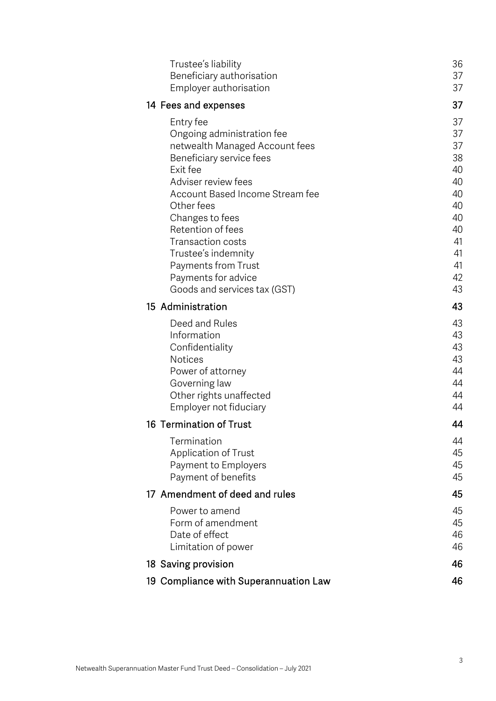| Trustee's liability                                 | 36       |
|-----------------------------------------------------|----------|
| Beneficiary authorisation<br>Employer authorisation | 37<br>37 |
| 14 Fees and expenses                                | 37       |
| Entry fee                                           | 37       |
| Ongoing administration fee                          | 37       |
| netwealth Managed Account fees                      | 37       |
| Beneficiary service fees                            | 38       |
| Exit fee                                            | 40       |
| Adviser review fees                                 | 40       |
| Account Based Income Stream fee                     | 40       |
| Other fees                                          | 40<br>40 |
| Changes to fees<br>Retention of fees                | 40       |
| <b>Transaction costs</b>                            | 41       |
| Trustee's indemnity                                 | 41       |
| Payments from Trust                                 | 41       |
| Payments for advice                                 | 42       |
| Goods and services tax (GST)                        | 43       |
| 15 Administration                                   | 43       |
| Deed and Rules                                      | 43       |
| Information                                         | 43       |
| Confidentiality                                     | 43       |
| <b>Notices</b>                                      | 43<br>44 |
| Power of attorney<br>Governing law                  | 44       |
| Other rights unaffected                             | 44       |
| Employer not fiduciary                              | 44       |
| 16 Termination of Trust                             | 44       |
| Termination                                         | 44       |
| <b>Application of Trust</b>                         | 45       |
| Payment to Employers                                | 45       |
| Payment of benefits                                 | 45       |
| 17 Amendment of deed and rules                      | 45       |
| Power to amend                                      | 45       |
| Form of amendment                                   | 45       |
| Date of effect                                      | 46       |
| Limitation of power                                 | 46       |
| 18 Saving provision                                 | 46       |
| 19 Compliance with Superannuation Law               | 46       |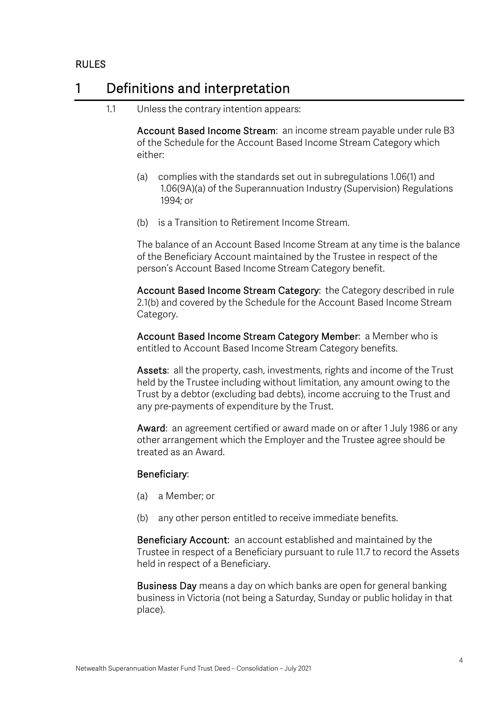## RULES

## 1 Definitions and interpretation

1.1 Unless the contrary intention appears:

Account Based Income Stream: an income stream payable under rule B3 of the Schedule for the Account Based Income Stream Category which either:

- (a) complies with the standards set out in subregulations 1.06(1) and 1.06(9A)(a) of the Superannuation Industry (Supervision) Regulations 1994; or
- (b) is a Transition to Retirement Income Stream.

The balance of an Account Based Income Stream at any time is the balance of the Beneficiary Account maintained by the Trustee in respect of the person's Account Based Income Stream Category benefit.

Account Based Income Stream Category: the Category described in rule 2.1(b) and covered by the Schedule for the Account Based Income Stream Category.

Account Based Income Stream Category Member: a Member who is entitled to Account Based Income Stream Category benefits.

Assets: all the property, cash, investments, rights and income of the Trust held by the Trustee including without limitation, any amount owing to the Trust by a debtor (excluding bad debts), income accruing to the Trust and any pre-payments of expenditure by the Trust.

Award: an agreement certified or award made on or after 1 July 1986 or any other arrangement which the Employer and the Trustee agree should be treated as an Award.

#### Beneficiary:

- (a) a Member; or
- (b) any other person entitled to receive immediate benefits.

Beneficiary Account: an account established and maintained by the Trustee in respect of a Beneficiary pursuant to rule 11.7 to record the Assets held in respect of a Beneficiary.

Business Day means a day on which banks are open for general banking business in Victoria (not being a Saturday, Sunday or public holiday in that place).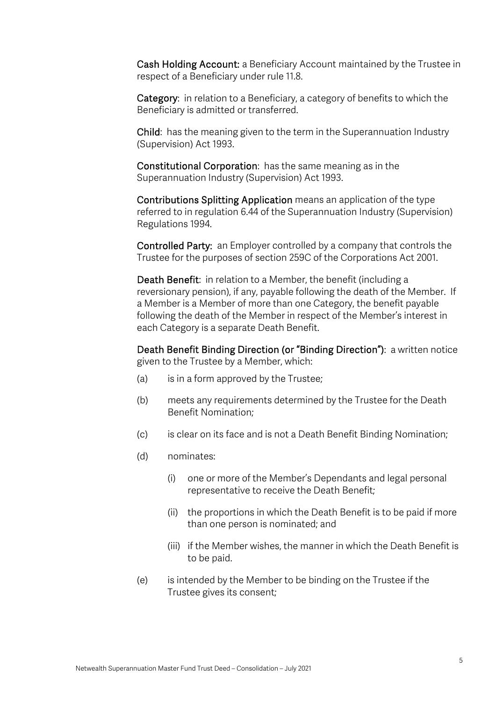Cash Holding Account: a Beneficiary Account maintained by the Trustee in respect of a Beneficiary under rule 11.8.

Category: in relation to a Beneficiary, a category of benefits to which the Beneficiary is admitted or transferred.

Child: has the meaning given to the term in the Superannuation Industry (Supervision) Act 1993.

Constitutional Corporation: has the same meaning as in the Superannuation Industry (Supervision) Act 1993.

Contributions Splitting Application means an application of the type referred to in regulation 6.44 of the Superannuation Industry (Supervision) Regulations 1994.

Controlled Party: an Employer controlled by a company that controls the Trustee for the purposes of section 259C of the Corporations Act 2001.

Death Benefit: in relation to a Member, the benefit (including a reversionary pension), if any, payable following the death of the Member. If a Member is a Member of more than one Category, the benefit payable following the death of the Member in respect of the Member's interest in each Category is a separate Death Benefit.

Death Benefit Binding Direction (or "Binding Direction"): a written notice given to the Trustee by a Member, which:

- (a) is in a form approved by the Trustee;
- (b) meets any requirements determined by the Trustee for the Death Benefit Nomination;
- (c) is clear on its face and is not a Death Benefit Binding Nomination;
- (d) nominates:
	- (i) one or more of the Member's Dependants and legal personal representative to receive the Death Benefit;
	- (ii) the proportions in which the Death Benefit is to be paid if more than one person is nominated; and
	- (iii) if the Member wishes, the manner in which the Death Benefit is to be paid.
- (e) is intended by the Member to be binding on the Trustee if the Trustee gives its consent;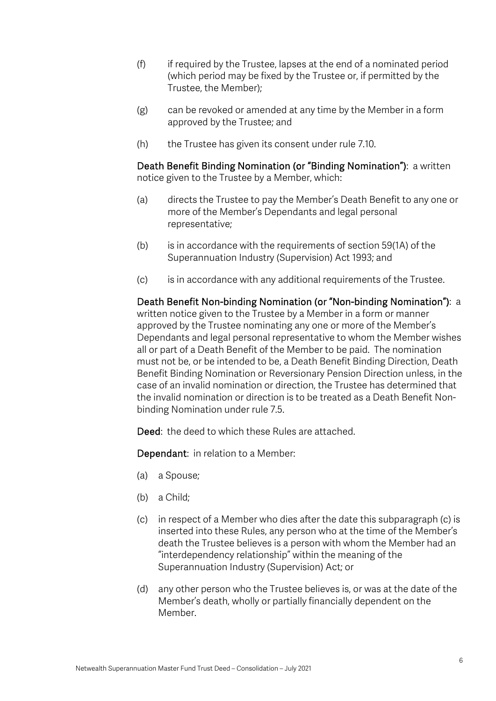- (f) if required by the Trustee, lapses at the end of a nominated period (which period may be fixed by the Trustee or, if permitted by the Trustee, the Member);
- (g) can be revoked or amended at any time by the Member in a form approved by the Trustee; and
- (h) the Trustee has given its consent under rule 7.10.

Death Benefit Binding Nomination (or "Binding Nomination"): a written notice given to the Trustee by a Member, which:

- (a) directs the Trustee to pay the Member's Death Benefit to any one or more of the Member's Dependants and legal personal representative;
- $(b)$  is in accordance with the requirements of section 59(1A) of the Superannuation Industry (Supervision) Act 1993; and
- (c) is in accordance with any additional requirements of the Trustee.

Death Benefit Non-binding Nomination (or "Non-binding Nomination"): a written notice given to the Trustee by a Member in a form or manner approved by the Trustee nominating any one or more of the Member's Dependants and legal personal representative to whom the Member wishes all or part of a Death Benefit of the Member to be paid. The nomination must not be, or be intended to be, a Death Benefit Binding Direction, Death Benefit Binding Nomination or Reversionary Pension Direction unless, in the case of an invalid nomination or direction, the Trustee has determined that the invalid nomination or direction is to be treated as a Death Benefit Nonbinding Nomination under rule 7.5.

Deed: the deed to which these Rules are attached.

Dependant: in relation to a Member:

- (a) a Spouse;
- (b) a Child;
- (c) in respect of a Member who dies after the date this subparagraph (c) is inserted into these Rules, any person who at the time of the Member's death the Trustee believes is a person with whom the Member had an "interdependency relationship" within the meaning of the Superannuation Industry (Supervision) Act; or
- (d) any other person who the Trustee believes is, or was at the date of the Member's death, wholly or partially financially dependent on the Member.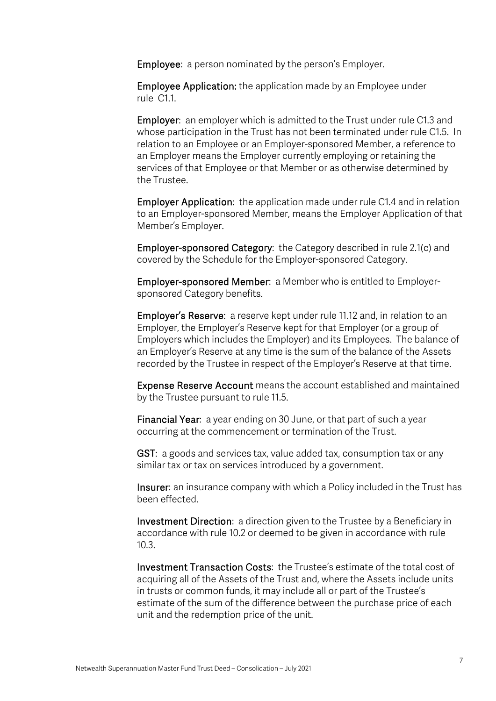Employee: a person nominated by the person's Employer.

Employee Application: the application made by an Employee under rule C1.1.

Employer: an employer which is admitted to the Trust under rule C1.3 and whose participation in the Trust has not been terminated under rule C1.5. In relation to an Employee or an Employer-sponsored Member, a reference to an Employer means the Employer currently employing or retaining the services of that Employee or that Member or as otherwise determined by the Trustee.

Employer Application: the application made under rule C1.4 and in relation to an Employer-sponsored Member, means the Employer Application of that Member's Employer.

Employer-sponsored Category: the Category described in rule 2.1(c) and covered by the Schedule for the Employer-sponsored Category.

Employer-sponsored Member: a Member who is entitled to Employersponsored Category benefits.

Employer's Reserve: a reserve kept under rule 11.12 and, in relation to an Employer, the Employer's Reserve kept for that Employer (or a group of Employers which includes the Employer) and its Employees. The balance of an Employer's Reserve at any time is the sum of the balance of the Assets recorded by the Trustee in respect of the Employer's Reserve at that time.

Expense Reserve Account means the account established and maintained by the Trustee pursuant to rule 11.5.

Financial Year: a year ending on 30 June, or that part of such a year occurring at the commencement or termination of the Trust.

GST: a goods and services tax, value added tax, consumption tax or any similar tax or tax on services introduced by a government.

Insurer: an insurance company with which a Policy included in the Trust has been effected.

Investment Direction: a direction given to the Trustee by a Beneficiary in accordance with rule 10.2 or deemed to be given in accordance with rule 10.3.

Investment Transaction Costs: the Trustee's estimate of the total cost of acquiring all of the Assets of the Trust and, where the Assets include units in trusts or common funds, it may include all or part of the Trustee's estimate of the sum of the difference between the purchase price of each unit and the redemption price of the unit.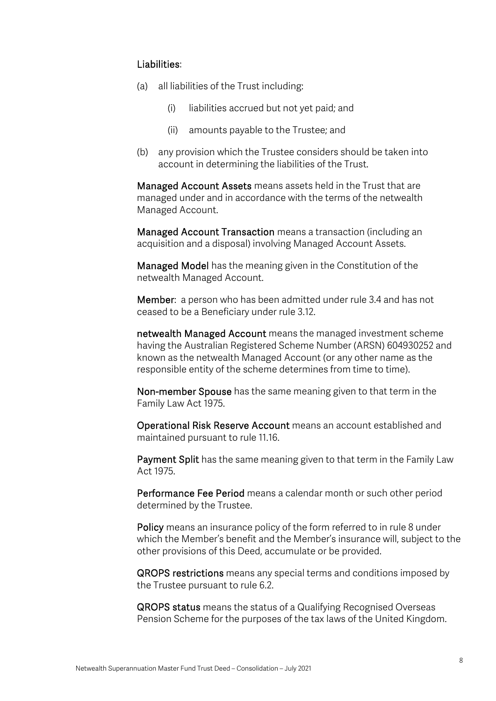#### Liabilities:

- (a) all liabilities of the Trust including:
	- (i) liabilities accrued but not yet paid; and
	- (ii) amounts payable to the Trustee; and
- (b) any provision which the Trustee considers should be taken into account in determining the liabilities of the Trust.

Managed Account Assets means assets held in the Trust that are managed under and in accordance with the terms of the netwealth Managed Account.

Managed Account Transaction means a transaction (including an acquisition and a disposal) involving Managed Account Assets.

Managed Model has the meaning given in the Constitution of the netwealth Managed Account.

Member: a person who has been admitted under rule 3.4 and has not ceased to be a Beneficiary under rule 3.12.

netwealth Managed Account means the managed investment scheme having the Australian Registered Scheme Number (ARSN) 604930252 and known as the netwealth Managed Account (or any other name as the responsible entity of the scheme determines from time to time).

Non-member Spouse has the same meaning given to that term in the Family Law Act 1975.

Operational Risk Reserve Account means an account established and maintained pursuant to rule 11.16.

Payment Split has the same meaning given to that term in the Family Law Act 1975.

Performance Fee Period means a calendar month or such other period determined by the Trustee.

Policy means an insurance policy of the form referred to in rule 8 under which the Member's benefit and the Member's insurance will, subject to the other provisions of this Deed, accumulate or be provided.

QROPS restrictions means any special terms and conditions imposed by the Trustee pursuant to rule 6.2.

QROPS status means the status of a Qualifying Recognised Overseas Pension Scheme for the purposes of the tax laws of the United Kingdom.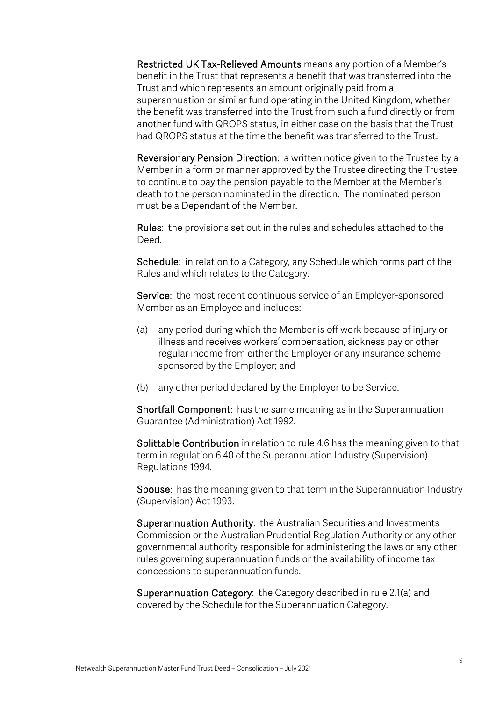Restricted UK Tax-Relieved Amounts means any portion of a Member's benefit in the Trust that represents a benefit that was transferred into the Trust and which represents an amount originally paid from a superannuation or similar fund operating in the United Kingdom, whether the benefit was transferred into the Trust from such a fund directly or from another fund with QROPS status, in either case on the basis that the Trust had QROPS status at the time the benefit was transferred to the Trust.

Reversionary Pension Direction: a written notice given to the Trustee by a Member in a form or manner approved by the Trustee directing the Trustee to continue to pay the pension payable to the Member at the Member's death to the person nominated in the direction. The nominated person must be a Dependant of the Member.

Rules: the provisions set out in the rules and schedules attached to the Deed.

Schedule: in relation to a Category, any Schedule which forms part of the Rules and which relates to the Category.

Service: the most recent continuous service of an Employer-sponsored Member as an Employee and includes:

- (a) any period during which the Member is off work because of injury or illness and receives workers' compensation, sickness pay or other regular income from either the Employer or any insurance scheme sponsored by the Employer; and
- (b) any other period declared by the Employer to be Service.

Shortfall Component: has the same meaning as in the Superannuation Guarantee (Administration) Act 1992.

Splittable Contribution in relation to rule 4.6 has the meaning given to that term in regulation 6.40 of the Superannuation Industry (Supervision) Regulations 1994.

Spouse: has the meaning given to that term in the Superannuation Industry (Supervision) Act 1993.

Superannuation Authority: the Australian Securities and Investments Commission or the Australian Prudential Regulation Authority or any other governmental authority responsible for administering the laws or any other rules governing superannuation funds or the availability of income tax concessions to superannuation funds.

Superannuation Category: the Category described in rule 2.1(a) and covered by the Schedule for the Superannuation Category.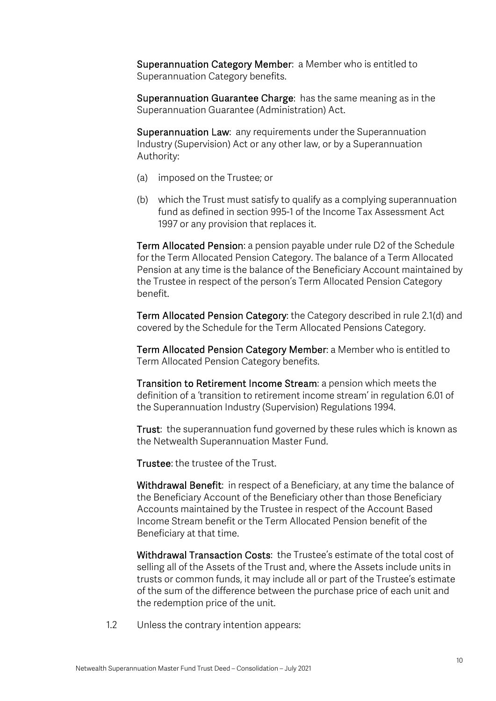Superannuation Category Member: a Member who is entitled to Superannuation Category benefits.

Superannuation Guarantee Charge: has the same meaning as in the Superannuation Guarantee (Administration) Act.

Superannuation Law: any requirements under the Superannuation Industry (Supervision) Act or any other law, or by a Superannuation Authority:

- (a) imposed on the Trustee; or
- (b) which the Trust must satisfy to qualify as a complying superannuation fund as defined in section 995-1 of the Income Tax Assessment Act 1997 or any provision that replaces it.

Term Allocated Pension: a pension payable under rule D2 of the Schedule for the Term Allocated Pension Category. The balance of a Term Allocated Pension at any time is the balance of the Beneficiary Account maintained by the Trustee in respect of the person's Term Allocated Pension Category benefit.

Term Allocated Pension Category: the Category described in rule 2.1(d) and covered by the Schedule for the Term Allocated Pensions Category.

Term Allocated Pension Category Member: a Member who is entitled to Term Allocated Pension Category benefits.

Transition to Retirement Income Stream: a pension which meets the definition of a 'transition to retirement income stream' in regulation 6.01 of the Superannuation Industry (Supervision) Regulations 1994.

Trust: the superannuation fund governed by these rules which is known as the Netwealth Superannuation Master Fund.

Trustee: the trustee of the Trust.

Withdrawal Benefit: in respect of a Beneficiary, at any time the balance of the Beneficiary Account of the Beneficiary other than those Beneficiary Accounts maintained by the Trustee in respect of the Account Based Income Stream benefit or the Term Allocated Pension benefit of the Beneficiary at that time.

Withdrawal Transaction Costs: the Trustee's estimate of the total cost of selling all of the Assets of the Trust and, where the Assets include units in trusts or common funds, it may include all or part of the Trustee's estimate of the sum of the difference between the purchase price of each unit and the redemption price of the unit.

1.2 Unless the contrary intention appears: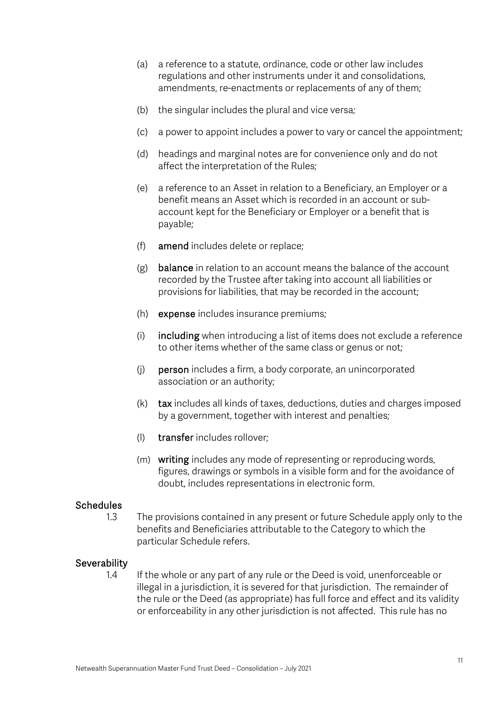- (a) a reference to a statute, ordinance, code or other law includes regulations and other instruments under it and consolidations, amendments, re-enactments or replacements of any of them;
- (b) the singular includes the plural and vice versa;
- (c) a power to appoint includes a power to vary or cancel the appointment;
- (d) headings and marginal notes are for convenience only and do not affect the interpretation of the Rules;
- (e) a reference to an Asset in relation to a Beneficiary, an Employer or a benefit means an Asset which is recorded in an account or subaccount kept for the Beneficiary or Employer or a benefit that is payable;
- (f) amend includes delete or replace;
- (g) balance in relation to an account means the balance of the account recorded by the Trustee after taking into account all liabilities or provisions for liabilities, that may be recorded in the account;
- (h) expense includes insurance premiums;
- (i) including when introducing a list of items does not exclude a reference to other items whether of the same class or genus or not;
- (j) person includes a firm, a body corporate, an unincorporated association or an authority;
- (k) tax includes all kinds of taxes, deductions, duties and charges imposed by a government, together with interest and penalties;
- (l) transfer includes rollover;
- (m) writing includes any mode of representing or reproducing words, figures, drawings or symbols in a visible form and for the avoidance of doubt, includes representations in electronic form.

### **Schedules**

1.3 The provisions contained in any present or future Schedule apply only to the benefits and Beneficiaries attributable to the Category to which the particular Schedule refers.

#### **Severability**

1.4 If the whole or any part of any rule or the Deed is void, unenforceable or illegal in a jurisdiction, it is severed for that jurisdiction. The remainder of the rule or the Deed (as appropriate) has full force and effect and its validity or enforceability in any other jurisdiction is not affected. This rule has no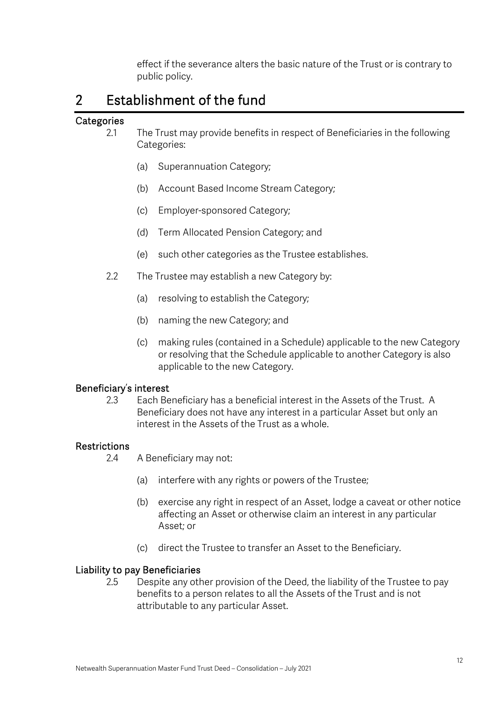effect if the severance alters the basic nature of the Trust or is contrary to public policy.

## 2 Establishment of the fund

### **Categories**

- 2.1 The Trust may provide benefits in respect of Beneficiaries in the following Categories:
	- (a) Superannuation Category;
	- (b) Account Based Income Stream Category;
	- (c) Employer-sponsored Category;
	- (d) Term Allocated Pension Category; and
	- (e) such other categories as the Trustee establishes.
- 2.2 The Trustee may establish a new Category by:
	- (a) resolving to establish the Category;
	- (b) naming the new Category; and
	- (c) making rules (contained in a Schedule) applicable to the new Category or resolving that the Schedule applicable to another Category is also applicable to the new Category.

#### Beneficiary's interest

2.3 Each Beneficiary has a beneficial interest in the Assets of the Trust. A Beneficiary does not have any interest in a particular Asset but only an interest in the Assets of the Trust as a whole.

## Restrictions

- 2.4 A Beneficiary may not:
	- (a) interfere with any rights or powers of the Trustee;
	- (b) exercise any right in respect of an Asset, lodge a caveat or other notice affecting an Asset or otherwise claim an interest in any particular Asset; or
	- (c) direct the Trustee to transfer an Asset to the Beneficiary.

#### Liability to pay Beneficiaries

2.5 Despite any other provision of the Deed, the liability of the Trustee to pay benefits to a person relates to all the Assets of the Trust and is not attributable to any particular Asset.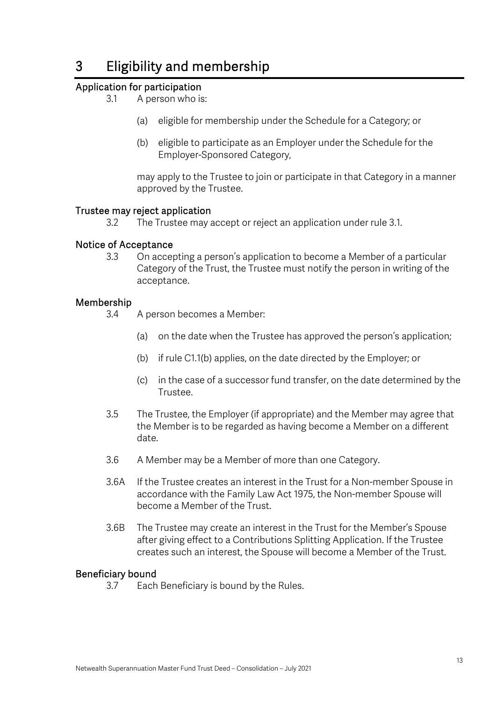# 3 Eligibility and membership

## Application for participation

- 3.1 A person who is:
	- (a) eligible for membership under the Schedule for a Category; or
	- (b) eligible to participate as an Employer under the Schedule for the Employer-Sponsored Category,

may apply to the Trustee to join or participate in that Category in a manner approved by the Trustee.

#### Trustee may reject application

3.2 The Trustee may accept or reject an application under rule 3.1.

#### Notice of Acceptance

3.3 On accepting a person's application to become a Member of a particular Category of the Trust, the Trustee must notify the person in writing of the acceptance.

#### Membership

- 3.4 A person becomes a Member:
	- (a) on the date when the Trustee has approved the person's application;
	- (b) if rule C1.1(b) applies, on the date directed by the Employer; or
	- (c) in the case of a successor fund transfer, on the date determined by the Trustee.
- 3.5 The Trustee, the Employer (if appropriate) and the Member may agree that the Member is to be regarded as having become a Member on a different date.
- 3.6 A Member may be a Member of more than one Category.
- 3.6A If the Trustee creates an interest in the Trust for a Non-member Spouse in accordance with the Family Law Act 1975, the Non-member Spouse will become a Member of the Trust.
- 3.6B The Trustee may create an interest in the Trust for the Member's Spouse after giving effect to a Contributions Splitting Application. If the Trustee creates such an interest, the Spouse will become a Member of the Trust.

#### Beneficiary bound

3.7 Each Beneficiary is bound by the Rules.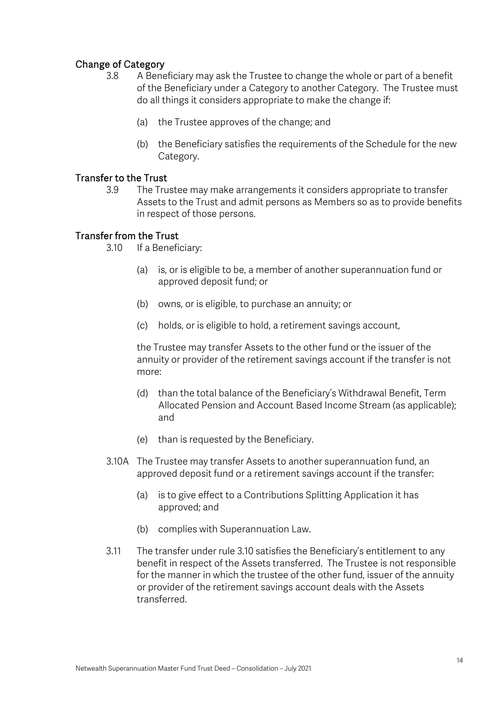## Change of Category

- 3.8 A Beneficiary may ask the Trustee to change the whole or part of a benefit of the Beneficiary under a Category to another Category. The Trustee must do all things it considers appropriate to make the change if:
	- (a) the Trustee approves of the change; and
	- (b) the Beneficiary satisfies the requirements of the Schedule for the new Category.

#### Transfer to the Trust

3.9 The Trustee may make arrangements it considers appropriate to transfer Assets to the Trust and admit persons as Members so as to provide benefits in respect of those persons.

### Transfer from the Trust

- 3.10 If a Beneficiary:
	- (a) is, or is eligible to be, a member of another superannuation fund or approved deposit fund; or
	- (b) owns, or is eligible, to purchase an annuity; or
	- (c) holds, or is eligible to hold, a retirement savings account,

the Trustee may transfer Assets to the other fund or the issuer of the annuity or provider of the retirement savings account if the transfer is not more:

- (d) than the total balance of the Beneficiary's Withdrawal Benefit, Term Allocated Pension and Account Based Income Stream (as applicable); and
- (e) than is requested by the Beneficiary.
- 3.10A The Trustee may transfer Assets to another superannuation fund, an approved deposit fund or a retirement savings account if the transfer:
	- (a) is to give effect to a Contributions Splitting Application it has approved; and
	- (b) complies with Superannuation Law.
- 3.11 The transfer under rule 3.10 satisfies the Beneficiary's entitlement to any benefit in respect of the Assets transferred. The Trustee is not responsible for the manner in which the trustee of the other fund, issuer of the annuity or provider of the retirement savings account deals with the Assets transferred.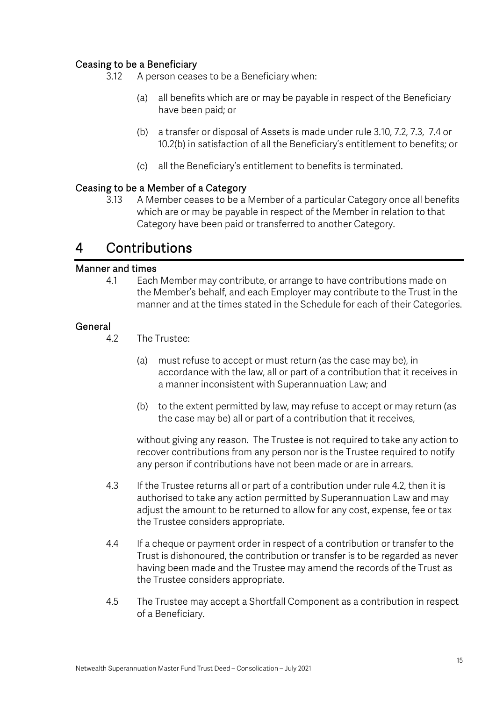## Ceasing to be a Beneficiary

- 3.12 A person ceases to be a Beneficiary when:
	- (a) all benefits which are or may be payable in respect of the Beneficiary have been paid; or
	- (b) a transfer or disposal of Assets is made under rule 3.10, 7.2, 7.3, 7.4 or 10.2(b) in satisfaction of all the Beneficiary's entitlement to benefits; or
	- (c) all the Beneficiary's entitlement to benefits is terminated.

### Ceasing to be a Member of a Category

3.13 A Member ceases to be a Member of a particular Category once all benefits which are or may be payable in respect of the Member in relation to that Category have been paid or transferred to another Category.

## 4 Contributions

#### Manner and times

4.1 Each Member may contribute, or arrange to have contributions made on the Member's behalf, and each Employer may contribute to the Trust in the manner and at the times stated in the Schedule for each of their Categories.

#### **General**

- 4.2 The Trustee:
	- (a) must refuse to accept or must return (as the case may be), in accordance with the law, all or part of a contribution that it receives in a manner inconsistent with Superannuation Law; and
	- (b) to the extent permitted by law, may refuse to accept or may return (as the case may be) all or part of a contribution that it receives,

without giving any reason. The Trustee is not required to take any action to recover contributions from any person nor is the Trustee required to notify any person if contributions have not been made or are in arrears.

- 4.3 If the Trustee returns all or part of a contribution under rule 4.2, then it is authorised to take any action permitted by Superannuation Law and may adjust the amount to be returned to allow for any cost, expense, fee or tax the Trustee considers appropriate.
- 4.4 If a cheque or payment order in respect of a contribution or transfer to the Trust is dishonoured, the contribution or transfer is to be regarded as never having been made and the Trustee may amend the records of the Trust as the Trustee considers appropriate.
- 4.5 The Trustee may accept a Shortfall Component as a contribution in respect of a Beneficiary.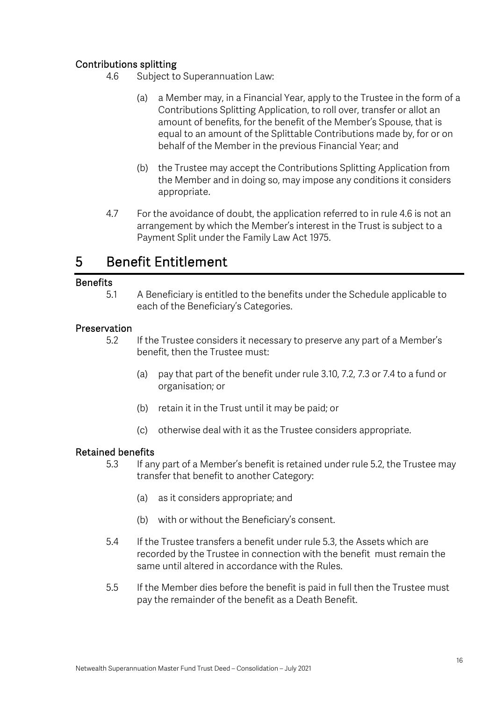## Contributions splitting

- 4.6 Subject to Superannuation Law:
	- (a) a Member may, in a Financial Year, apply to the Trustee in the form of a Contributions Splitting Application, to roll over, transfer or allot an amount of benefits, for the benefit of the Member's Spouse, that is equal to an amount of the Splittable Contributions made by, for or on behalf of the Member in the previous Financial Year; and
	- (b) the Trustee may accept the Contributions Splitting Application from the Member and in doing so, may impose any conditions it considers appropriate.
- 4.7 For the avoidance of doubt, the application referred to in rule 4.6 is not an arrangement by which the Member's interest in the Trust is subject to a Payment Split under the Family Law Act 1975.

## 5 Benefit Entitlement

#### **Benefits**

5.1 A Beneficiary is entitled to the benefits under the Schedule applicable to each of the Beneficiary's Categories.

#### Preservation

- 5.2 If the Trustee considers it necessary to preserve any part of a Member's benefit, then the Trustee must:
	- (a) pay that part of the benefit under rule 3.10, 7.2, 7.3 or 7.4 to a fund or organisation; or
	- (b) retain it in the Trust until it may be paid; or
	- (c) otherwise deal with it as the Trustee considers appropriate.

#### Retained benefits

- 5.3 If any part of a Member's benefit is retained under rule 5.2, the Trustee may transfer that benefit to another Category:
	- (a) as it considers appropriate; and
	- (b) with or without the Beneficiary's consent.
	- 5.4 If the Trustee transfers a benefit under rule 5.3, the Assets which are recorded by the Trustee in connection with the benefit must remain the same until altered in accordance with the Rules.
	- 5.5 If the Member dies before the benefit is paid in full then the Trustee must pay the remainder of the benefit as a Death Benefit.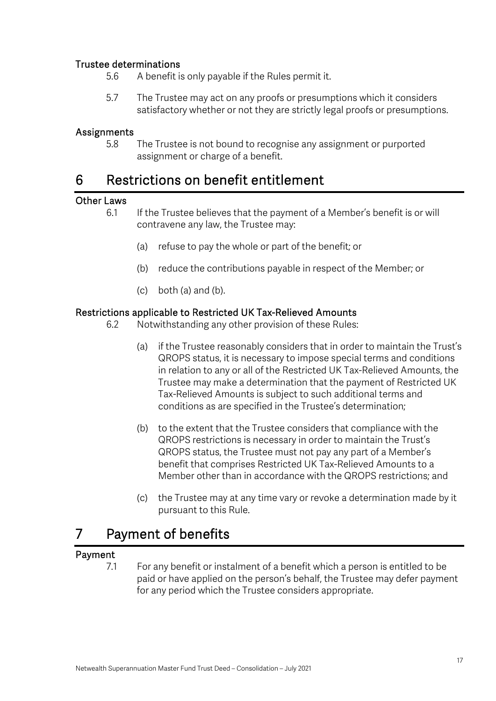## Trustee determinations

- 5.6 A benefit is only payable if the Rules permit it.
- 5.7 The Trustee may act on any proofs or presumptions which it considers satisfactory whether or not they are strictly legal proofs or presumptions.

### Assignments

5.8 The Trustee is not bound to recognise any assignment or purported assignment or charge of a benefit.

## 6 Restrictions on benefit entitlement

## Other Laws

- 6.1 If the Trustee believes that the payment of a Member's benefit is or will contravene any law, the Trustee may:
	- (a) refuse to pay the whole or part of the benefit; or
	- (b) reduce the contributions payable in respect of the Member; or
	- (c) both (a) and (b).

#### Restrictions applicable to Restricted UK Tax-Relieved Amounts

- 6.2 Notwithstanding any other provision of these Rules:
	- (a) if the Trustee reasonably considers that in order to maintain the Trust's QROPS status, it is necessary to impose special terms and conditions in relation to any or all of the Restricted UK Tax-Relieved Amounts, the Trustee may make a determination that the payment of Restricted UK Tax-Relieved Amounts is subject to such additional terms and conditions as are specified in the Trustee's determination;
	- (b) to the extent that the Trustee considers that compliance with the QROPS restrictions is necessary in order to maintain the Trust's QROPS status, the Trustee must not pay any part of a Member's benefit that comprises Restricted UK Tax-Relieved Amounts to a Member other than in accordance with the QROPS restrictions; and
	- (c) the Trustee may at any time vary or revoke a determination made by it pursuant to this Rule.

## 7 Payment of benefits

## Payment

7.1 For any benefit or instalment of a benefit which a person is entitled to be paid or have applied on the person's behalf, the Trustee may defer payment for any period which the Trustee considers appropriate.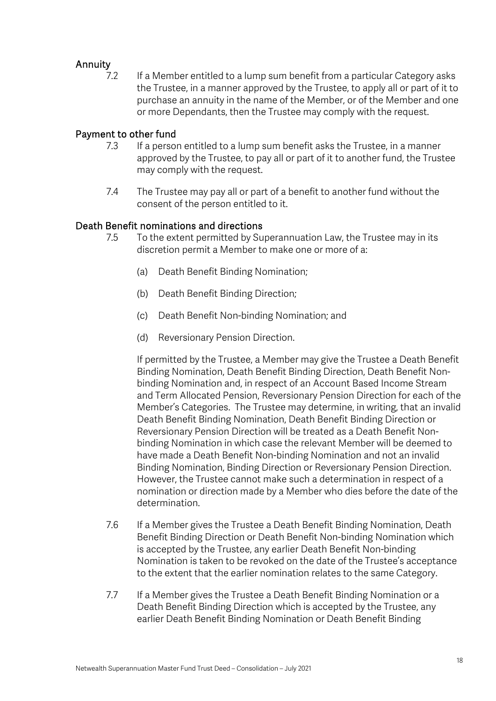## Annuity

7.2 If a Member entitled to a lump sum benefit from a particular Category asks the Trustee, in a manner approved by the Trustee, to apply all or part of it to purchase an annuity in the name of the Member, or of the Member and one or more Dependants, then the Trustee may comply with the request.

#### Payment to other fund

- 7.3 If a person entitled to a lump sum benefit asks the Trustee, in a manner approved by the Trustee, to pay all or part of it to another fund, the Trustee may comply with the request.
- 7.4 The Trustee may pay all or part of a benefit to another fund without the consent of the person entitled to it.

### Death Benefit nominations and directions

- 7.5 To the extent permitted by Superannuation Law, the Trustee may in its discretion permit a Member to make one or more of a:
	- (a) Death Benefit Binding Nomination;
	- (b) Death Benefit Binding Direction;
	- (c) Death Benefit Non-binding Nomination; and
	- (d) Reversionary Pension Direction.

If permitted by the Trustee, a Member may give the Trustee a Death Benefit Binding Nomination, Death Benefit Binding Direction, Death Benefit Nonbinding Nomination and, in respect of an Account Based Income Stream and Term Allocated Pension, Reversionary Pension Direction for each of the Member's Categories. The Trustee may determine, in writing, that an invalid Death Benefit Binding Nomination, Death Benefit Binding Direction or Reversionary Pension Direction will be treated as a Death Benefit Nonbinding Nomination in which case the relevant Member will be deemed to have made a Death Benefit Non-binding Nomination and not an invalid Binding Nomination, Binding Direction or Reversionary Pension Direction. However, the Trustee cannot make such a determination in respect of a nomination or direction made by a Member who dies before the date of the determination.

- 7.6 If a Member gives the Trustee a Death Benefit Binding Nomination, Death Benefit Binding Direction or Death Benefit Non-binding Nomination which is accepted by the Trustee, any earlier Death Benefit Non-binding Nomination is taken to be revoked on the date of the Trustee's acceptance to the extent that the earlier nomination relates to the same Category.
- 7.7 If a Member gives the Trustee a Death Benefit Binding Nomination or a Death Benefit Binding Direction which is accepted by the Trustee, any earlier Death Benefit Binding Nomination or Death Benefit Binding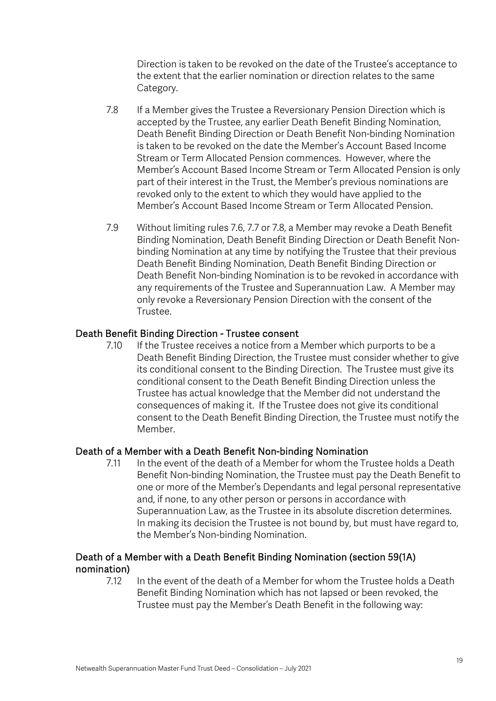Direction is taken to be revoked on the date of the Trustee's acceptance to the extent that the earlier nomination or direction relates to the same Category.

- 7.8 If a Member gives the Trustee a Reversionary Pension Direction which is accepted by the Trustee, any earlier Death Benefit Binding Nomination, Death Benefit Binding Direction or Death Benefit Non-binding Nomination is taken to be revoked on the date the Member's Account Based Income Stream or Term Allocated Pension commences. However, where the Member's Account Based Income Stream or Term Allocated Pension is only part of their interest in the Trust, the Member's previous nominations are revoked only to the extent to which they would have applied to the Member's Account Based Income Stream or Term Allocated Pension.
- 7.9 Without limiting rules 7.6, 7.7 or 7.8, a Member may revoke a Death Benefit Binding Nomination, Death Benefit Binding Direction or Death Benefit Nonbinding Nomination at any time by notifying the Trustee that their previous Death Benefit Binding Nomination, Death Benefit Binding Direction or Death Benefit Non-binding Nomination is to be revoked in accordance with any requirements of the Trustee and Superannuation Law. A Member may only revoke a Reversionary Pension Direction with the consent of the Trustee.

### Death Benefit Binding Direction - Trustee consent

7.10 If the Trustee receives a notice from a Member which purports to be a Death Benefit Binding Direction, the Trustee must consider whether to give its conditional consent to the Binding Direction. The Trustee must give its conditional consent to the Death Benefit Binding Direction unless the Trustee has actual knowledge that the Member did not understand the consequences of making it. If the Trustee does not give its conditional consent to the Death Benefit Binding Direction, the Trustee must notify the Member.

## Death of a Member with a Death Benefit Non-binding Nomination

7.11 In the event of the death of a Member for whom the Trustee holds a Death Benefit Non-binding Nomination, the Trustee must pay the Death Benefit to one or more of the Member's Dependants and legal personal representative and, if none, to any other person or persons in accordance with Superannuation Law, as the Trustee in its absolute discretion determines. In making its decision the Trustee is not bound by, but must have regard to, the Member's Non-binding Nomination.

### Death of a Member with a Death Benefit Binding Nomination (section 59(1A) nomination)

7.12 In the event of the death of a Member for whom the Trustee holds a Death Benefit Binding Nomination which has not lapsed or been revoked, the Trustee must pay the Member's Death Benefit in the following way: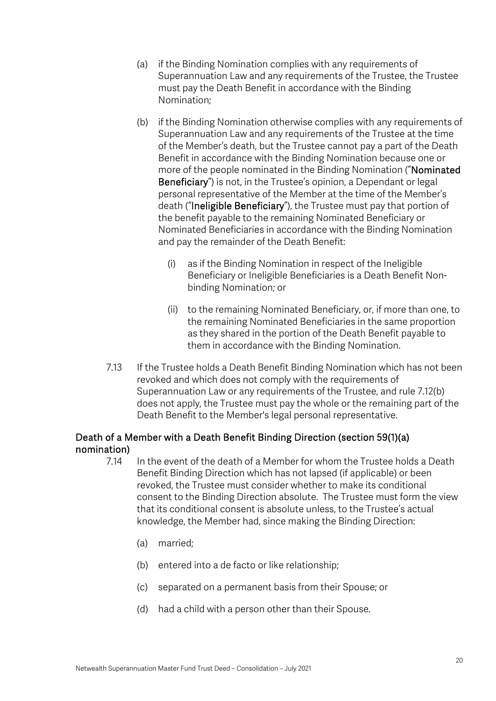- (a) if the Binding Nomination complies with any requirements of Superannuation Law and any requirements of the Trustee, the Trustee must pay the Death Benefit in accordance with the Binding Nomination;
- (b) if the Binding Nomination otherwise complies with any requirements of Superannuation Law and any requirements of the Trustee at the time of the Member's death, but the Trustee cannot pay a part of the Death Benefit in accordance with the Binding Nomination because one or more of the people nominated in the Binding Nomination ("Nominated Beneficiary") is not, in the Trustee's opinion, a Dependant or legal personal representative of the Member at the time of the Member's death ("Ineligible Beneficiary"), the Trustee must pay that portion of the benefit payable to the remaining Nominated Beneficiary or Nominated Beneficiaries in accordance with the Binding Nomination and pay the remainder of the Death Benefit:
	- (i) as if the Binding Nomination in respect of the Ineligible Beneficiary or Ineligible Beneficiaries is a Death Benefit Nonbinding Nomination; or
	- (ii) to the remaining Nominated Beneficiary, or, if more than one, to the remaining Nominated Beneficiaries in the same proportion as they shared in the portion of the Death Benefit payable to them in accordance with the Binding Nomination.
- 7.13 If the Trustee holds a Death Benefit Binding Nomination which has not been revoked and which does not comply with the requirements of Superannuation Law or any requirements of the Trustee, and rule 7.12(b) does not apply, the Trustee must pay the whole or the remaining part of the Death Benefit to the Member's legal personal representative.

## Death of a Member with a Death Benefit Binding Direction (section 59(1)(a) nomination)

- 7.14 In the event of the death of a Member for whom the Trustee holds a Death Benefit Binding Direction which has not lapsed (if applicable) or been revoked, the Trustee must consider whether to make its conditional consent to the Binding Direction absolute. The Trustee must form the view that its conditional consent is absolute unless, to the Trustee's actual knowledge, the Member had, since making the Binding Direction:
	- (a) married;
	- (b) entered into a de facto or like relationship;
	- (c) separated on a permanent basis from their Spouse; or
	- (d) had a child with a person other than their Spouse.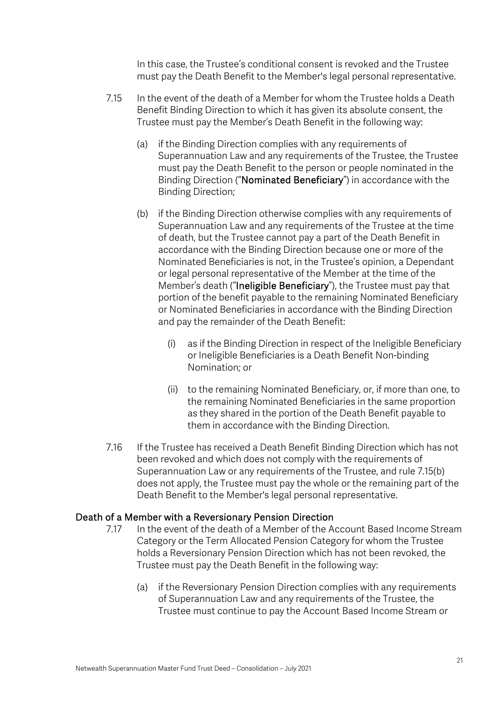In this case, the Trustee's conditional consent is revoked and the Trustee must pay the Death Benefit to the Member's legal personal representative.

- 7.15 In the event of the death of a Member for whom the Trustee holds a Death Benefit Binding Direction to which it has given its absolute consent, the Trustee must pay the Member's Death Benefit in the following way:
	- (a) if the Binding Direction complies with any requirements of Superannuation Law and any requirements of the Trustee, the Trustee must pay the Death Benefit to the person or people nominated in the Binding Direction ("Nominated Beneficiary") in accordance with the Binding Direction;
	- (b) if the Binding Direction otherwise complies with any requirements of Superannuation Law and any requirements of the Trustee at the time of death, but the Trustee cannot pay a part of the Death Benefit in accordance with the Binding Direction because one or more of the Nominated Beneficiaries is not, in the Trustee's opinion, a Dependant or legal personal representative of the Member at the time of the Member's death ("Ineligible Beneficiary"), the Trustee must pay that portion of the benefit payable to the remaining Nominated Beneficiary or Nominated Beneficiaries in accordance with the Binding Direction and pay the remainder of the Death Benefit:
		- (i) as if the Binding Direction in respect of the Ineligible Beneficiary or Ineligible Beneficiaries is a Death Benefit Non-binding Nomination; or
		- (ii) to the remaining Nominated Beneficiary, or, if more than one, to the remaining Nominated Beneficiaries in the same proportion as they shared in the portion of the Death Benefit payable to them in accordance with the Binding Direction.
- 7.16 If the Trustee has received a Death Benefit Binding Direction which has not been revoked and which does not comply with the requirements of Superannuation Law or any requirements of the Trustee, and rule 7.15(b) does not apply, the Trustee must pay the whole or the remaining part of the Death Benefit to the Member's legal personal representative.

#### Death of a Member with a Reversionary Pension Direction

- 7.17 In the event of the death of a Member of the Account Based Income Stream Category or the Term Allocated Pension Category for whom the Trustee holds a Reversionary Pension Direction which has not been revoked, the Trustee must pay the Death Benefit in the following way:
	- (a) if the Reversionary Pension Direction complies with any requirements of Superannuation Law and any requirements of the Trustee, the Trustee must continue to pay the Account Based Income Stream or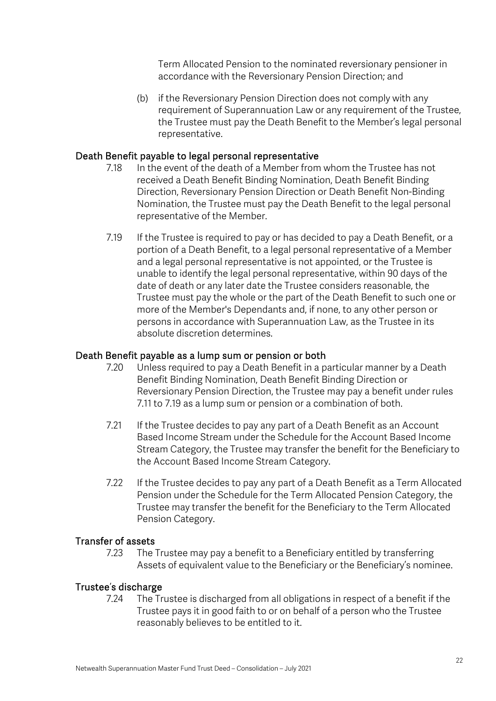Term Allocated Pension to the nominated reversionary pensioner in accordance with the Reversionary Pension Direction; and

(b) if the Reversionary Pension Direction does not comply with any requirement of Superannuation Law or any requirement of the Trustee, the Trustee must pay the Death Benefit to the Member's legal personal representative.

### Death Benefit payable to legal personal representative

- 7.18 In the event of the death of a Member from whom the Trustee has not received a Death Benefit Binding Nomination, Death Benefit Binding Direction, Reversionary Pension Direction or Death Benefit Non-Binding Nomination, the Trustee must pay the Death Benefit to the legal personal representative of the Member.
- 7.19 If the Trustee is required to pay or has decided to pay a Death Benefit, or a portion of a Death Benefit, to a legal personal representative of a Member and a legal personal representative is not appointed, or the Trustee is unable to identify the legal personal representative, within 90 days of the date of death or any later date the Trustee considers reasonable, the Trustee must pay the whole or the part of the Death Benefit to such one or more of the Member's Dependants and, if none, to any other person or persons in accordance with Superannuation Law, as the Trustee in its absolute discretion determines.

#### Death Benefit payable as a lump sum or pension or both

- 7.20 Unless required to pay a Death Benefit in a particular manner by a Death Benefit Binding Nomination, Death Benefit Binding Direction or Reversionary Pension Direction, the Trustee may pay a benefit under rules 7.11 to 7.19 as a lump sum or pension or a combination of both.
- 7.21 If the Trustee decides to pay any part of a Death Benefit as an Account Based Income Stream under the Schedule for the Account Based Income Stream Category, the Trustee may transfer the benefit for the Beneficiary to the Account Based Income Stream Category.
- 7.22 If the Trustee decides to pay any part of a Death Benefit as a Term Allocated Pension under the Schedule for the Term Allocated Pension Category, the Trustee may transfer the benefit for the Beneficiary to the Term Allocated Pension Category.

#### Transfer of assets

7.23 The Trustee may pay a benefit to a Beneficiary entitled by transferring Assets of equivalent value to the Beneficiary or the Beneficiary's nominee.

#### Trustee's discharge

7.24 The Trustee is discharged from all obligations in respect of a benefit if the Trustee pays it in good faith to or on behalf of a person who the Trustee reasonably believes to be entitled to it.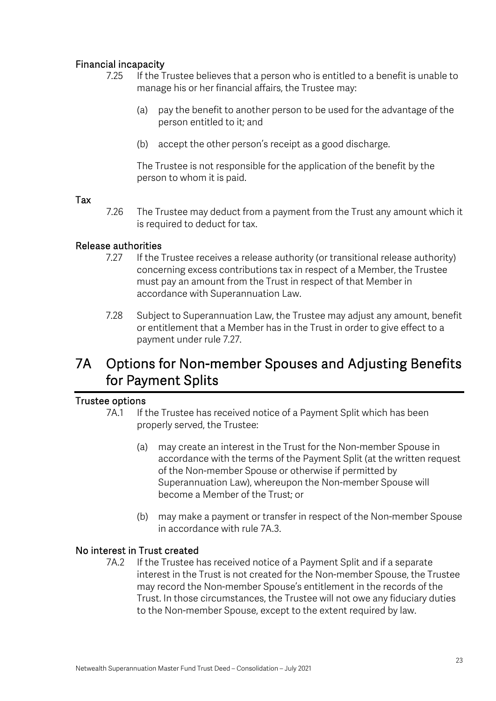## Financial incapacity

- 7.25 If the Trustee believes that a person who is entitled to a benefit is unable to manage his or her financial affairs, the Trustee may:
	- (a) pay the benefit to another person to be used for the advantage of the person entitled to it; and
	- (b) accept the other person's receipt as a good discharge.

The Trustee is not responsible for the application of the benefit by the person to whom it is paid.

#### Tax

7.26 The Trustee may deduct from a payment from the Trust any amount which it is required to deduct for tax.

#### Release authorities

- 7.27 If the Trustee receives a release authority (or transitional release authority) concerning excess contributions tax in respect of a Member, the Trustee must pay an amount from the Trust in respect of that Member in accordance with Superannuation Law.
- 7.28 Subject to Superannuation Law, the Trustee may adjust any amount, benefit or entitlement that a Member has in the Trust in order to give effect to a payment under rule 7.27.

## 7A Options for Non-member Spouses and Adjusting Benefits for Payment Splits

#### Trustee options

- 7A.1 If the Trustee has received notice of a Payment Split which has been properly served, the Trustee:
	- (a) may create an interest in the Trust for the Non-member Spouse in accordance with the terms of the Payment Split (at the written request of the Non-member Spouse or otherwise if permitted by Superannuation Law), whereupon the Non-member Spouse will become a Member of the Trust; or
	- (b) may make a payment or transfer in respect of the Non-member Spouse in accordance with rule 7A.3.

#### No interest in Trust created

7A.2 If the Trustee has received notice of a Payment Split and if a separate interest in the Trust is not created for the Non-member Spouse, the Trustee may record the Non-member Spouse's entitlement in the records of the Trust. In those circumstances, the Trustee will not owe any fiduciary duties to the Non-member Spouse, except to the extent required by law.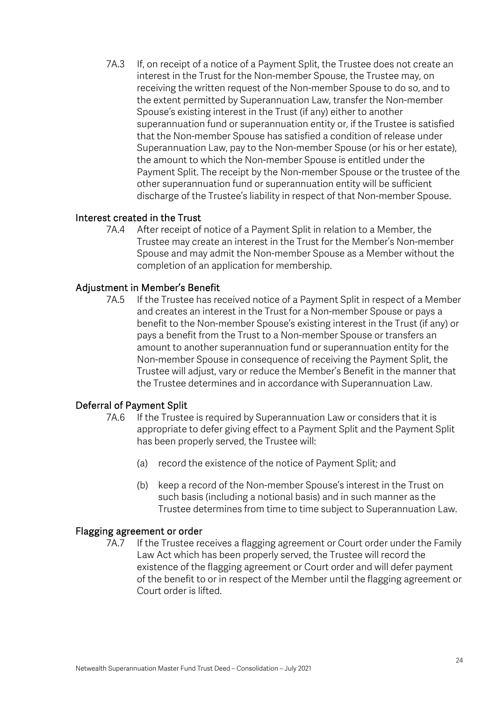7A.3 If, on receipt of a notice of a Payment Split, the Trustee does not create an interest in the Trust for the Non-member Spouse, the Trustee may, on receiving the written request of the Non-member Spouse to do so, and to the extent permitted by Superannuation Law, transfer the Non-member Spouse's existing interest in the Trust (if any) either to another superannuation fund or superannuation entity or, if the Trustee is satisfied that the Non-member Spouse has satisfied a condition of release under Superannuation Law, pay to the Non-member Spouse (or his or her estate), the amount to which the Non-member Spouse is entitled under the Payment Split. The receipt by the Non-member Spouse or the trustee of the other superannuation fund or superannuation entity will be sufficient discharge of the Trustee's liability in respect of that Non-member Spouse.

### Interest created in the Trust

7A.4 After receipt of notice of a Payment Split in relation to a Member, the Trustee may create an interest in the Trust for the Member's Non-member Spouse and may admit the Non-member Spouse as a Member without the completion of an application for membership.

### Adjustment in Member's Benefit

7A.5 If the Trustee has received notice of a Payment Split in respect of a Member and creates an interest in the Trust for a Non-member Spouse or pays a benefit to the Non-member Spouse's existing interest in the Trust (if any) or pays a benefit from the Trust to a Non-member Spouse or transfers an amount to another superannuation fund or superannuation entity for the Non-member Spouse in consequence of receiving the Payment Split, the Trustee will adjust, vary or reduce the Member's Benefit in the manner that the Trustee determines and in accordance with Superannuation Law.

#### Deferral of Payment Split

- 7A.6 If the Trustee is required by Superannuation Law or considers that it is appropriate to defer giving effect to a Payment Split and the Payment Split has been properly served, the Trustee will:
	- (a) record the existence of the notice of Payment Split; and
	- (b) keep a record of the Non-member Spouse's interest in the Trust on such basis (including a notional basis) and in such manner as the Trustee determines from time to time subject to Superannuation Law.

#### Flagging agreement or order

7A.7 If the Trustee receives a flagging agreement or Court order under the Family Law Act which has been properly served, the Trustee will record the existence of the flagging agreement or Court order and will defer payment of the benefit to or in respect of the Member until the flagging agreement or Court order is lifted.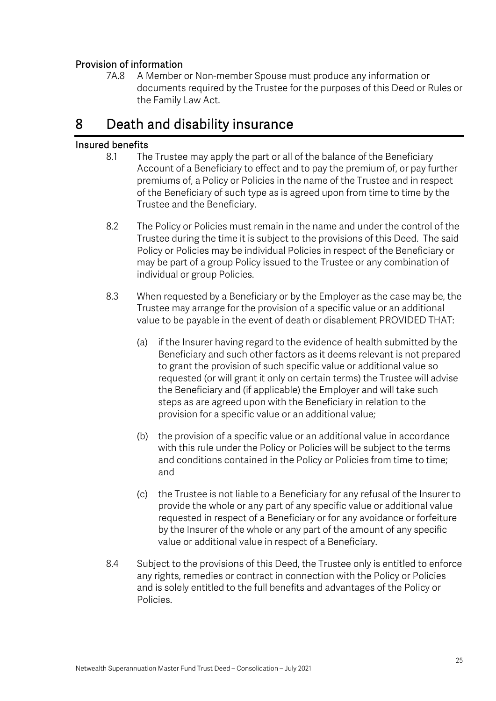## Provision of information

7A.8 A Member or Non-member Spouse must produce any information or documents required by the Trustee for the purposes of this Deed or Rules or the Family Law Act.

## 8 Death and disability insurance

## Insured benefits

- 8.1 The Trustee may apply the part or all of the balance of the Beneficiary Account of a Beneficiary to effect and to pay the premium of, or pay further premiums of, a Policy or Policies in the name of the Trustee and in respect of the Beneficiary of such type as is agreed upon from time to time by the Trustee and the Beneficiary.
- 8.2 The Policy or Policies must remain in the name and under the control of the Trustee during the time it is subject to the provisions of this Deed. The said Policy or Policies may be individual Policies in respect of the Beneficiary or may be part of a group Policy issued to the Trustee or any combination of individual or group Policies.
- 8.3 When requested by a Beneficiary or by the Employer as the case may be, the Trustee may arrange for the provision of a specific value or an additional value to be payable in the event of death or disablement PROVIDED THAT:
	- (a) if the Insurer having regard to the evidence of health submitted by the Beneficiary and such other factors as it deems relevant is not prepared to grant the provision of such specific value or additional value so requested (or will grant it only on certain terms) the Trustee will advise the Beneficiary and (if applicable) the Employer and will take such steps as are agreed upon with the Beneficiary in relation to the provision for a specific value or an additional value;
	- (b) the provision of a specific value or an additional value in accordance with this rule under the Policy or Policies will be subject to the terms and conditions contained in the Policy or Policies from time to time; and
	- (c) the Trustee is not liable to a Beneficiary for any refusal of the Insurer to provide the whole or any part of any specific value or additional value requested in respect of a Beneficiary or for any avoidance or forfeiture by the Insurer of the whole or any part of the amount of any specific value or additional value in respect of a Beneficiary.
- 8.4 Subject to the provisions of this Deed, the Trustee only is entitled to enforce any rights, remedies or contract in connection with the Policy or Policies and is solely entitled to the full benefits and advantages of the Policy or Policies.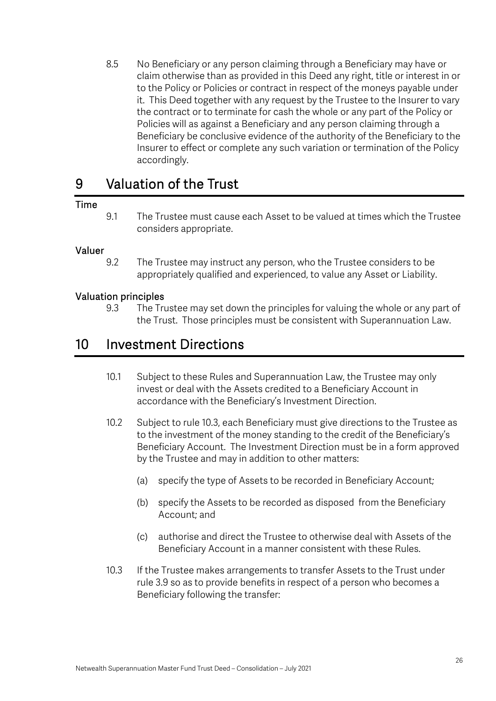8.5 No Beneficiary or any person claiming through a Beneficiary may have or claim otherwise than as provided in this Deed any right, title or interest in or to the Policy or Policies or contract in respect of the moneys payable under it. This Deed together with any request by the Trustee to the Insurer to vary the contract or to terminate for cash the whole or any part of the Policy or Policies will as against a Beneficiary and any person claiming through a Beneficiary be conclusive evidence of the authority of the Beneficiary to the Insurer to effect or complete any such variation or termination of the Policy accordingly.

## 9 Valuation of the Trust

#### Time

9.1 The Trustee must cause each Asset to be valued at times which the Trustee considers appropriate.

#### Valuer

9.2 The Trustee may instruct any person, who the Trustee considers to be appropriately qualified and experienced, to value any Asset or Liability.

#### Valuation principles

9.3 The Trustee may set down the principles for valuing the whole or any part of the Trust. Those principles must be consistent with Superannuation Law.

## 10 Investment Directions

- 10.1 Subject to these Rules and Superannuation Law, the Trustee may only invest or deal with the Assets credited to a Beneficiary Account in accordance with the Beneficiary's Investment Direction.
- 10.2 Subject to rule 10.3, each Beneficiary must give directions to the Trustee as to the investment of the money standing to the credit of the Beneficiary's Beneficiary Account. The Investment Direction must be in a form approved by the Trustee and may in addition to other matters:
	- (a) specify the type of Assets to be recorded in Beneficiary Account;
	- (b) specify the Assets to be recorded as disposed from the Beneficiary Account; and
	- (c) authorise and direct the Trustee to otherwise deal with Assets of the Beneficiary Account in a manner consistent with these Rules.
- 10.3 If the Trustee makes arrangements to transfer Assets to the Trust under rule 3.9 so as to provide benefits in respect of a person who becomes a Beneficiary following the transfer: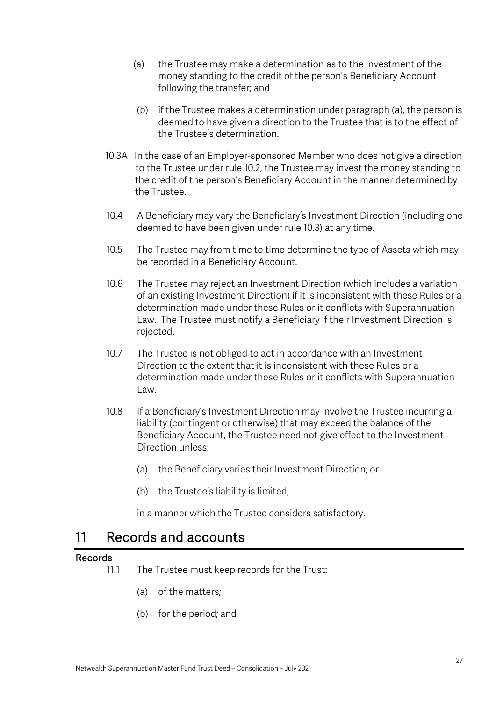- (a) the Trustee may make a determination as to the investment of the money standing to the credit of the person's Beneficiary Account following the transfer; and
- (b) if the Trustee makes a determination under paragraph (a), the person is deemed to have given a direction to the Trustee that is to the effect of the Trustee's determination.
- 10.3A In the case of an Employer-sponsored Member who does not give a direction to the Trustee under rule 10.2, the Trustee may invest the money standing to the credit of the person's Beneficiary Account in the manner determined by the Trustee.
- 10.4 A Beneficiary may vary the Beneficiary's Investment Direction (including one deemed to have been given under rule 10.3) at any time.
- 10.5 The Trustee may from time to time determine the type of Assets which may be recorded in a Beneficiary Account.
- 10.6 The Trustee may reject an Investment Direction (which includes a variation of an existing Investment Direction) if it is inconsistent with these Rules or a determination made under these Rules or it conflicts with Superannuation Law. The Trustee must notify a Beneficiary if their Investment Direction is rejected.
- 10.7 The Trustee is not obliged to act in accordance with an Investment Direction to the extent that it is inconsistent with these Rules or a determination made under these Rules or it conflicts with Superannuation Law.
- 10.8 If a Beneficiary's Investment Direction may involve the Trustee incurring a liability (contingent or otherwise) that may exceed the balance of the Beneficiary Account, the Trustee need not give effect to the Investment Direction unless:
	- (a) the Beneficiary varies their Investment Direction; or
	- (b) the Trustee's liability is limited,

in a manner which the Trustee considers satisfactory.

## 11 Records and accounts

#### Records

- 11.1 The Trustee must keep records for the Trust:
	- (a) of the matters;
	- (b) for the period; and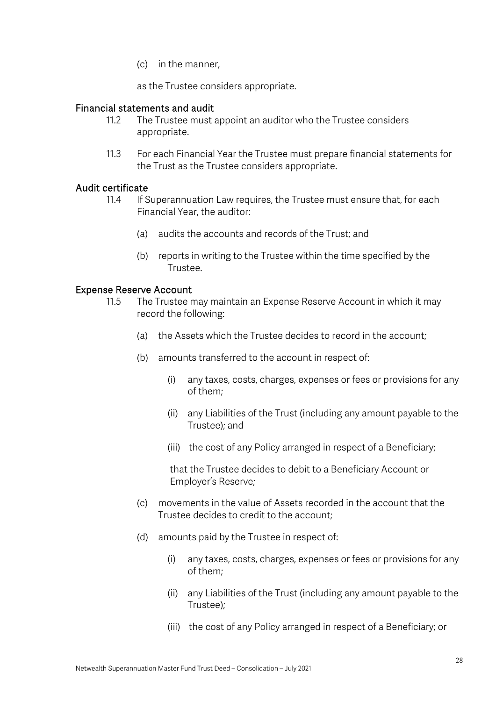(c) in the manner,

as the Trustee considers appropriate.

#### Financial statements and audit

- 11.2 The Trustee must appoint an auditor who the Trustee considers appropriate.
- 11.3 For each Financial Year the Trustee must prepare financial statements for the Trust as the Trustee considers appropriate.

#### Audit certificate

- 11.4 If Superannuation Law requires, the Trustee must ensure that, for each Financial Year, the auditor:
	- (a) audits the accounts and records of the Trust; and
	- (b) reports in writing to the Trustee within the time specified by the Trustee.

#### Expense Reserve Account

- 11.5 The Trustee may maintain an Expense Reserve Account in which it may record the following:
	- (a) the Assets which the Trustee decides to record in the account;
	- (b) amounts transferred to the account in respect of:
		- (i) any taxes, costs, charges, expenses or fees or provisions for any of them;
		- (ii) any Liabilities of the Trust (including any amount payable to the Trustee); and
		- (iii) the cost of any Policy arranged in respect of a Beneficiary;

that the Trustee decides to debit to a Beneficiary Account or Employer's Reserve;

- (c) movements in the value of Assets recorded in the account that the Trustee decides to credit to the account;
- (d) amounts paid by the Trustee in respect of:
	- (i) any taxes, costs, charges, expenses or fees or provisions for any of them;
	- (ii) any Liabilities of the Trust (including any amount payable to the Trustee);
	- (iii) the cost of any Policy arranged in respect of a Beneficiary; or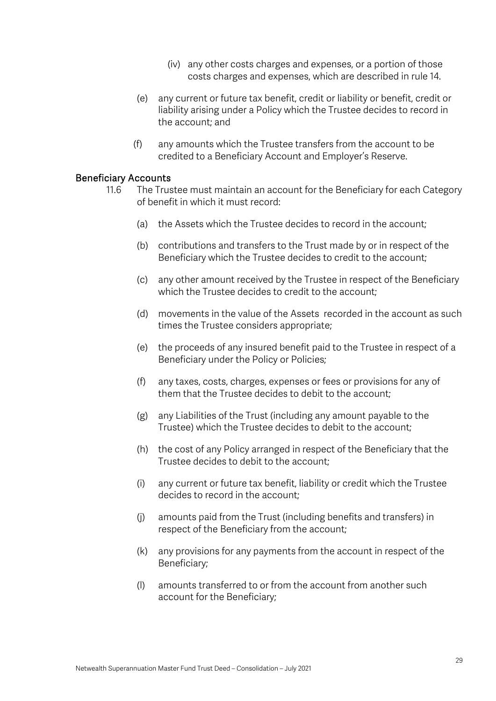- (iv) any other costs charges and expenses, or a portion of those costs charges and expenses, which are described in rule 14.
- (e) any current or future tax benefit, credit or liability or benefit, credit or liability arising under a Policy which the Trustee decides to record in the account; and
- (f) any amounts which the Trustee transfers from the account to be credited to a Beneficiary Account and Employer's Reserve.

#### Beneficiary Accounts

- 11.6 The Trustee must maintain an account for the Beneficiary for each Category of benefit in which it must record:
	- (a) the Assets which the Trustee decides to record in the account;
	- (b) contributions and transfers to the Trust made by or in respect of the Beneficiary which the Trustee decides to credit to the account;
	- (c) any other amount received by the Trustee in respect of the Beneficiary which the Trustee decides to credit to the account;
	- (d) movements in the value of the Assets recorded in the account as such times the Trustee considers appropriate;
	- (e) the proceeds of any insured benefit paid to the Trustee in respect of a Beneficiary under the Policy or Policies;
	- (f) any taxes, costs, charges, expenses or fees or provisions for any of them that the Trustee decides to debit to the account;
	- (g) any Liabilities of the Trust (including any amount payable to the Trustee) which the Trustee decides to debit to the account;
	- (h) the cost of any Policy arranged in respect of the Beneficiary that the Trustee decides to debit to the account;
	- (i) any current or future tax benefit, liability or credit which the Trustee decides to record in the account;
	- (j) amounts paid from the Trust (including benefits and transfers) in respect of the Beneficiary from the account;
	- (k) any provisions for any payments from the account in respect of the Beneficiary;
	- (l) amounts transferred to or from the account from another such account for the Beneficiary;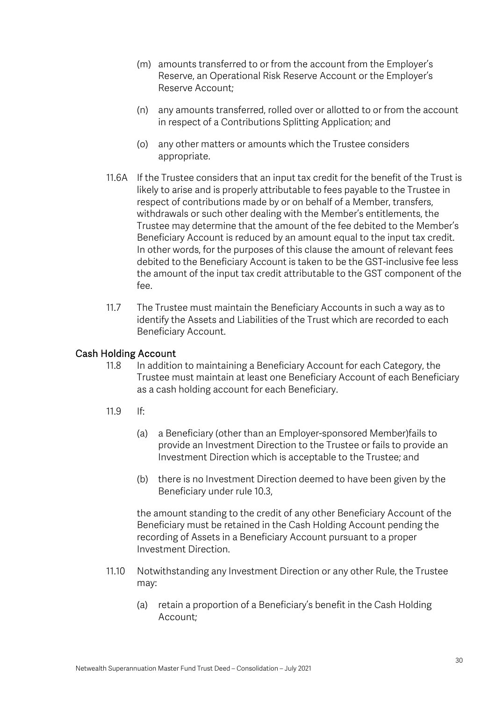- (m) amounts transferred to or from the account from the Employer's Reserve, an Operational Risk Reserve Account or the Employer's Reserve Account;
- (n) any amounts transferred, rolled over or allotted to or from the account in respect of a Contributions Splitting Application; and
- (o) any other matters or amounts which the Trustee considers appropriate.
- 11.6A If the Trustee considers that an input tax credit for the benefit of the Trust is likely to arise and is properly attributable to fees payable to the Trustee in respect of contributions made by or on behalf of a Member, transfers, withdrawals or such other dealing with the Member's entitlements, the Trustee may determine that the amount of the fee debited to the Member's Beneficiary Account is reduced by an amount equal to the input tax credit. In other words, for the purposes of this clause the amount of relevant fees debited to the Beneficiary Account is taken to be the GST-inclusive fee less the amount of the input tax credit attributable to the GST component of the fee.
- 11.7 The Trustee must maintain the Beneficiary Accounts in such a way as to identify the Assets and Liabilities of the Trust which are recorded to each Beneficiary Account.

### Cash Holding Account

- 11.8 In addition to maintaining a Beneficiary Account for each Category, the Trustee must maintain at least one Beneficiary Account of each Beneficiary as a cash holding account for each Beneficiary.
- 11.9 If:
	- (a) a Beneficiary (other than an Employer-sponsored Member)fails to provide an Investment Direction to the Trustee or fails to provide an Investment Direction which is acceptable to the Trustee; and
	- (b) there is no Investment Direction deemed to have been given by the Beneficiary under rule 10.3,

the amount standing to the credit of any other Beneficiary Account of the Beneficiary must be retained in the Cash Holding Account pending the recording of Assets in a Beneficiary Account pursuant to a proper Investment Direction.

- 11.10 Notwithstanding any Investment Direction or any other Rule, the Trustee may:
	- (a) retain a proportion of a Beneficiary's benefit in the Cash Holding Account;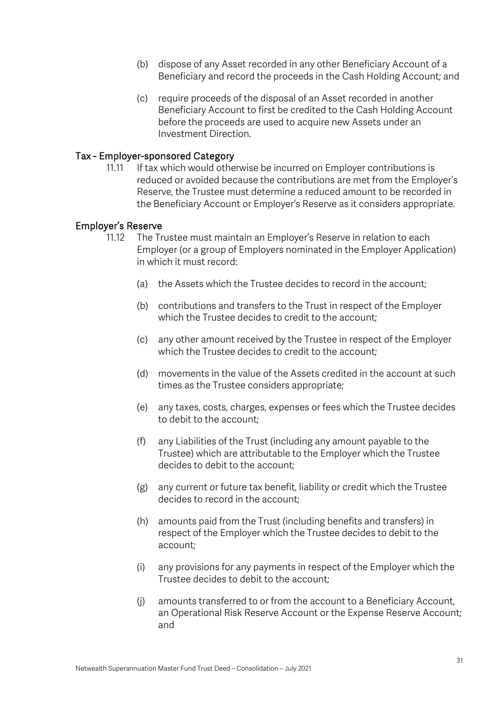- (b) dispose of any Asset recorded in any other Beneficiary Account of a Beneficiary and record the proceeds in the Cash Holding Account; and
- (c) require proceeds of the disposal of an Asset recorded in another Beneficiary Account to first be credited to the Cash Holding Account before the proceeds are used to acquire new Assets under an Investment Direction.

#### Tax - Employer-sponsored Category

11.11 If tax which would otherwise be incurred on Employer contributions is reduced or avoided because the contributions are met from the Employer's Reserve, the Trustee must determine a reduced amount to be recorded in the Beneficiary Account or Employer's Reserve as it considers appropriate.

#### Employer's Reserve

- 11.12 The Trustee must maintain an Employer's Reserve in relation to each Employer (or a group of Employers nominated in the Employer Application) in which it must record:
	- (a) the Assets which the Trustee decides to record in the account;
	- (b) contributions and transfers to the Trust in respect of the Employer which the Trustee decides to credit to the account:
	- (c) any other amount received by the Trustee in respect of the Employer which the Trustee decides to credit to the account;
	- (d) movements in the value of the Assets credited in the account at such times as the Trustee considers appropriate;
	- (e) any taxes, costs, charges, expenses or fees which the Trustee decides to debit to the account;
	- (f) any Liabilities of the Trust (including any amount payable to the Trustee) which are attributable to the Employer which the Trustee decides to debit to the account;
	- (g) any current or future tax benefit, liability or credit which the Trustee decides to record in the account;
	- (h) amounts paid from the Trust (including benefits and transfers) in respect of the Employer which the Trustee decides to debit to the account;
	- (i) any provisions for any payments in respect of the Employer which the Trustee decides to debit to the account;
	- (j) amounts transferred to or from the account to a Beneficiary Account, an Operational Risk Reserve Account or the Expense Reserve Account; and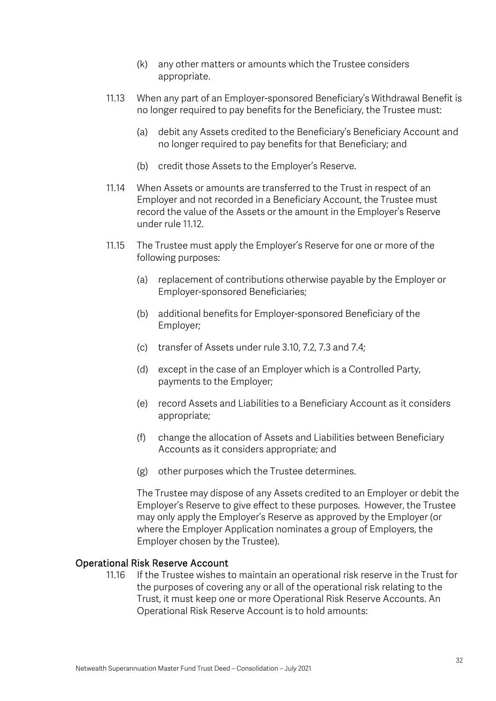- (k) any other matters or amounts which the Trustee considers appropriate.
- 11.13 When any part of an Employer-sponsored Beneficiary's Withdrawal Benefit is no longer required to pay benefits for the Beneficiary, the Trustee must:
	- (a) debit any Assets credited to the Beneficiary's Beneficiary Account and no longer required to pay benefits for that Beneficiary; and
	- (b) credit those Assets to the Employer's Reserve.
- 11.14 When Assets or amounts are transferred to the Trust in respect of an Employer and not recorded in a Beneficiary Account, the Trustee must record the value of the Assets or the amount in the Employer's Reserve under rule 11.12.
- 11.15 The Trustee must apply the Employer's Reserve for one or more of the following purposes:
	- (a) replacement of contributions otherwise payable by the Employer or Employer-sponsored Beneficiaries;
	- (b) additional benefits for Employer-sponsored Beneficiary of the Employer;
	- (c) transfer of Assets under rule 3.10, 7.2, 7.3 and 7.4;
	- (d) except in the case of an Employer which is a Controlled Party, payments to the Employer;
	- (e) record Assets and Liabilities to a Beneficiary Account as it considers appropriate;
	- (f) change the allocation of Assets and Liabilities between Beneficiary Accounts as it considers appropriate; and
	- (g) other purposes which the Trustee determines.

The Trustee may dispose of any Assets credited to an Employer or debit the Employer's Reserve to give effect to these purposes. However, the Trustee may only apply the Employer's Reserve as approved by the Employer (or where the Employer Application nominates a group of Employers, the Employer chosen by the Trustee).

#### Operational Risk Reserve Account

11.16 If the Trustee wishes to maintain an operational risk reserve in the Trust for the purposes of covering any or all of the operational risk relating to the Trust, it must keep one or more Operational Risk Reserve Accounts. An Operational Risk Reserve Account is to hold amounts: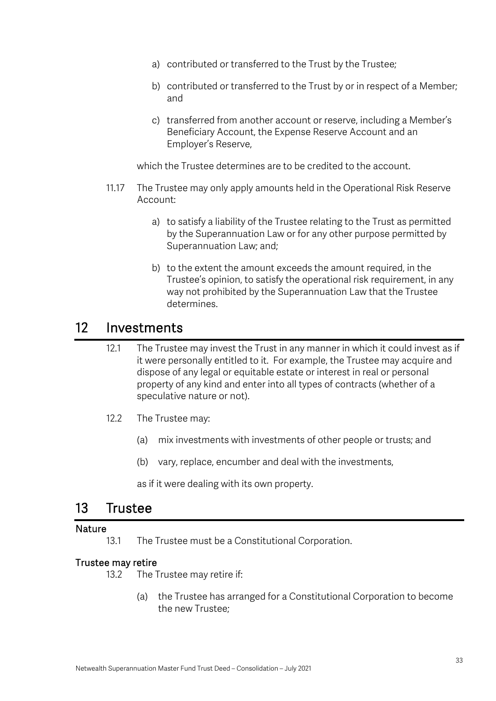- a) contributed or transferred to the Trust by the Trustee;
- b) contributed or transferred to the Trust by or in respect of a Member; and
- c) transferred from another account or reserve, including a Member's Beneficiary Account, the Expense Reserve Account and an Employer's Reserve,

which the Trustee determines are to be credited to the account.

- 11.17 The Trustee may only apply amounts held in the Operational Risk Reserve Account:
	- a) to satisfy a liability of the Trustee relating to the Trust as permitted by the Superannuation Law or for any other purpose permitted by Superannuation Law; and;
	- b) to the extent the amount exceeds the amount required, in the Trustee's opinion, to satisfy the operational risk requirement, in any way not prohibited by the Superannuation Law that the Trustee determines.

## 12 Investments

- 12.1 The Trustee may invest the Trust in any manner in which it could invest as if it were personally entitled to it. For example, the Trustee may acquire and dispose of any legal or equitable estate or interest in real or personal property of any kind and enter into all types of contracts (whether of a speculative nature or not).
- 12.2 The Trustee may:
	- (a) mix investments with investments of other people or trusts; and
	- (b) vary, replace, encumber and deal with the investments,

as if it were dealing with its own property.

## 13 Trustee

#### Nature

13.1 The Trustee must be a Constitutional Corporation.

#### Trustee may retire

- 13.2 The Trustee may retire if:
	- (a) the Trustee has arranged for a Constitutional Corporation to become the new Trustee;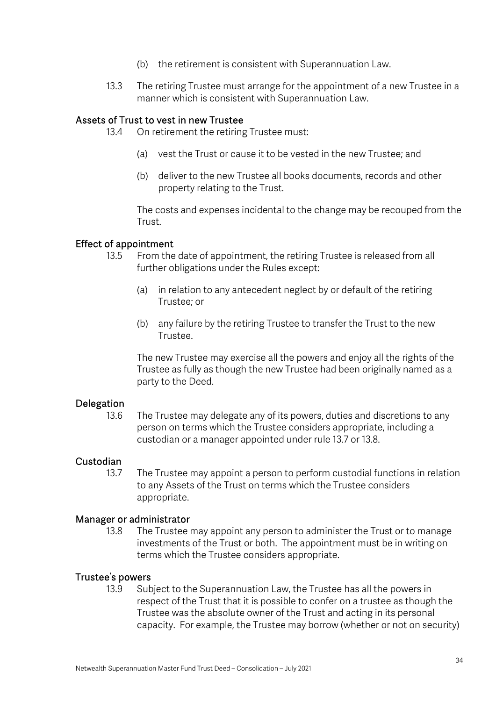- (b) the retirement is consistent with Superannuation Law.
- 13.3 The retiring Trustee must arrange for the appointment of a new Trustee in a manner which is consistent with Superannuation Law.

#### Assets of Trust to vest in new Trustee

- 13.4 On retirement the retiring Trustee must:
	- (a) vest the Trust or cause it to be vested in the new Trustee; and
	- (b) deliver to the new Trustee all books documents, records and other property relating to the Trust.

The costs and expenses incidental to the change may be recouped from the Trust.

#### Effect of appointment

- 13.5 From the date of appointment, the retiring Trustee is released from all further obligations under the Rules except:
	- (a) in relation to any antecedent neglect by or default of the retiring Trustee; or
	- (b) any failure by the retiring Trustee to transfer the Trust to the new Trustee.

The new Trustee may exercise all the powers and enjoy all the rights of the Trustee as fully as though the new Trustee had been originally named as a party to the Deed.

#### Delegation

13.6 The Trustee may delegate any of its powers, duties and discretions to any person on terms which the Trustee considers appropriate, including a custodian or a manager appointed under rule 13.7 or 13.8.

#### Custodian

13.7 The Trustee may appoint a person to perform custodial functions in relation to any Assets of the Trust on terms which the Trustee considers appropriate.

#### Manager or administrator

13.8 The Trustee may appoint any person to administer the Trust or to manage investments of the Trust or both. The appointment must be in writing on terms which the Trustee considers appropriate.

#### Trustee's powers

13.9 Subject to the Superannuation Law, the Trustee has all the powers in respect of the Trust that it is possible to confer on a trustee as though the Trustee was the absolute owner of the Trust and acting in its personal capacity. For example, the Trustee may borrow (whether or not on security)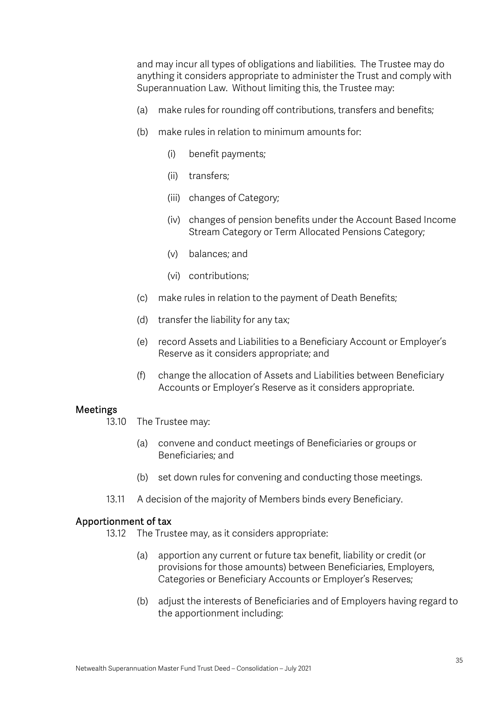and may incur all types of obligations and liabilities. The Trustee may do anything it considers appropriate to administer the Trust and comply with Superannuation Law. Without limiting this, the Trustee may:

- (a) make rules for rounding off contributions, transfers and benefits;
- (b) make rules in relation to minimum amounts for:
	- (i) benefit payments;
	- (ii) transfers;
	- (iii) changes of Category;
	- (iv) changes of pension benefits under the Account Based Income Stream Category or Term Allocated Pensions Category;
	- (v) balances; and
	- (vi) contributions;
- (c) make rules in relation to the payment of Death Benefits;
- (d) transfer the liability for any tax;
- (e) record Assets and Liabilities to a Beneficiary Account or Employer's Reserve as it considers appropriate; and
- (f) change the allocation of Assets and Liabilities between Beneficiary Accounts or Employer's Reserve as it considers appropriate.

#### Meetings

- 13.10 The Trustee may:
	- (a) convene and conduct meetings of Beneficiaries or groups or Beneficiaries; and
	- (b) set down rules for convening and conducting those meetings.
- 13.11 A decision of the majority of Members binds every Beneficiary.

#### Apportionment of tax

- 13.12 The Trustee may, as it considers appropriate:
	- (a) apportion any current or future tax benefit, liability or credit (or provisions for those amounts) between Beneficiaries, Employers, Categories or Beneficiary Accounts or Employer's Reserves;
	- (b) adjust the interests of Beneficiaries and of Employers having regard to the apportionment including: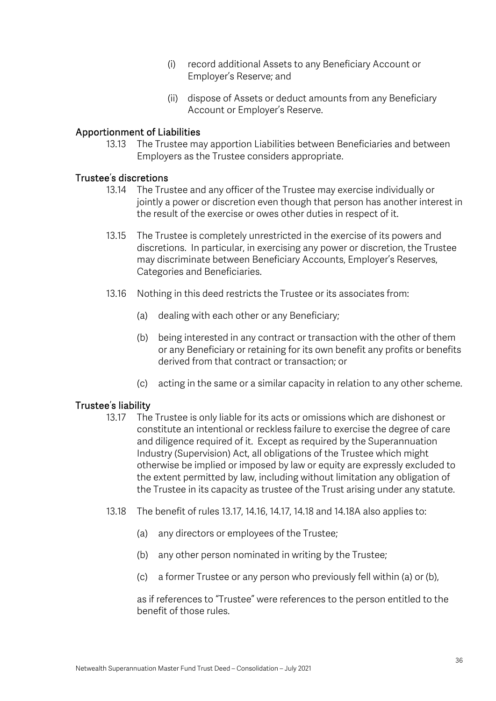- (i) record additional Assets to any Beneficiary Account or Employer's Reserve; and
- (ii) dispose of Assets or deduct amounts from any Beneficiary Account or Employer's Reserve.

### Apportionment of Liabilities

13.13 The Trustee may apportion Liabilities between Beneficiaries and between Employers as the Trustee considers appropriate.

#### Trustee's discretions

- 13.14 The Trustee and any officer of the Trustee may exercise individually or jointly a power or discretion even though that person has another interest in the result of the exercise or owes other duties in respect of it.
- 13.15 The Trustee is completely unrestricted in the exercise of its powers and discretions. In particular, in exercising any power or discretion, the Trustee may discriminate between Beneficiary Accounts, Employer's Reserves, Categories and Beneficiaries.
- 13.16 Nothing in this deed restricts the Trustee or its associates from:
	- (a) dealing with each other or any Beneficiary;
	- (b) being interested in any contract or transaction with the other of them or any Beneficiary or retaining for its own benefit any profits or benefits derived from that contract or transaction; or
	- (c) acting in the same or a similar capacity in relation to any other scheme.

#### Trustee's liability

- 13.17 The Trustee is only liable for its acts or omissions which are dishonest or constitute an intentional or reckless failure to exercise the degree of care and diligence required of it. Except as required by the Superannuation Industry (Supervision) Act, all obligations of the Trustee which might otherwise be implied or imposed by law or equity are expressly excluded to the extent permitted by law, including without limitation any obligation of the Trustee in its capacity as trustee of the Trust arising under any statute.
- 13.18 The benefit of rules 13.17, 14.16, 14.17, 14.18 and 14.18A also applies to:
	- (a) any directors or employees of the Trustee;
	- (b) any other person nominated in writing by the Trustee;
	- (c) a former Trustee or any person who previously fell within (a) or (b),

as if references to "Trustee" were references to the person entitled to the benefit of those rules.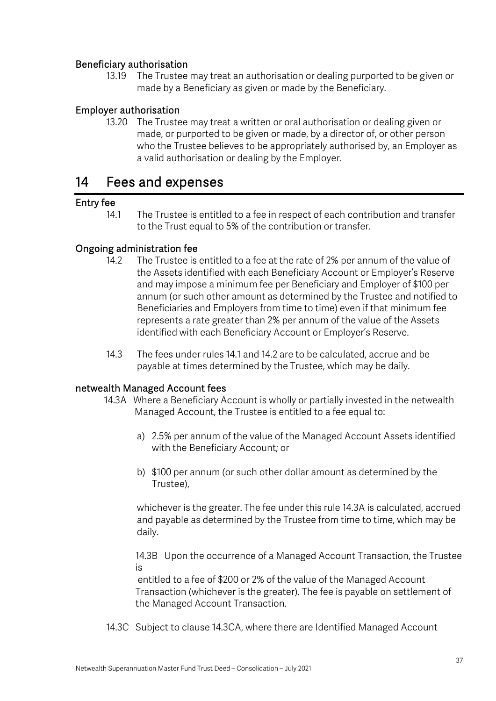## Beneficiary authorisation

13.19 The Trustee may treat an authorisation or dealing purported to be given or made by a Beneficiary as given or made by the Beneficiary.

## Employer authorisation

13.20 The Trustee may treat a written or oral authorisation or dealing given or made, or purported to be given or made, by a director of, or other person who the Trustee believes to be appropriately authorised by, an Employer as a valid authorisation or dealing by the Employer.

## 14 Fees and expenses

## Entry fee

14.1 The Trustee is entitled to a fee in respect of each contribution and transfer to the Trust equal to 5% of the contribution or transfer.

## Ongoing administration fee

- 14.2 The Trustee is entitled to a fee at the rate of 2% per annum of the value of the Assets identified with each Beneficiary Account or Employer's Reserve and may impose a minimum fee per Beneficiary and Employer of \$100 per annum (or such other amount as determined by the Trustee and notified to Beneficiaries and Employers from time to time) even if that minimum fee represents a rate greater than 2% per annum of the value of the Assets identified with each Beneficiary Account or Employer's Reserve.
- 14.3 The fees under rules 14.1 and 14.2 are to be calculated, accrue and be payable at times determined by the Trustee, which may be daily.

## netwealth Managed Account fees

- 14.3A Where a Beneficiary Account is wholly or partially invested in the netwealth Managed Account, the Trustee is entitled to a fee equal to:
	- a) 2.5% per annum of the value of the Managed Account Assets identified with the Beneficiary Account; or
	- b) \$100 per annum (or such other dollar amount as determined by the Trustee),

whichever is the greater. The fee under this rule 14.3A is calculated, accrued and payable as determined by the Trustee from time to time, which may be daily.

14.3B Upon the occurrence of a Managed Account Transaction, the Trustee is

entitled to a fee of \$200 or 2% of the value of the Managed Account Transaction (whichever is the greater). The fee is payable on settlement of the Managed Account Transaction.

14.3C Subject to clause 14.3CA, where there are Identified Managed Account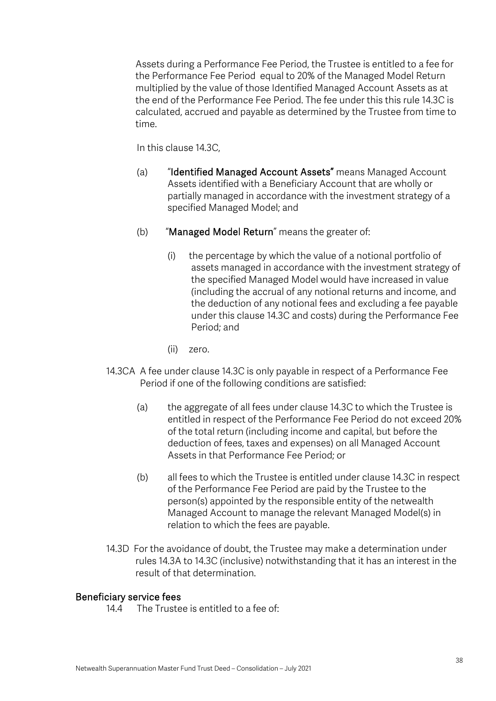Assets during a Performance Fee Period, the Trustee is entitled to a fee for the Performance Fee Period equal to 20% of the Managed Model Return multiplied by the value of those Identified Managed Account Assets as at the end of the Performance Fee Period. The fee under this this rule 14.3C is calculated, accrued and payable as determined by the Trustee from time to time.

In this clause 14.3C,

- (a) "Identified Managed Account Assets" means Managed Account Assets identified with a Beneficiary Account that are wholly or partially managed in accordance with the investment strategy of a specified Managed Model; and
- (b) "Managed Model Return" means the greater of:
	- (i) the percentage by which the value of a notional portfolio of assets managed in accordance with the investment strategy of the specified Managed Model would have increased in value (including the accrual of any notional returns and income, and the deduction of any notional fees and excluding a fee payable under this clause 14.3C and costs) during the Performance Fee Period; and
	- (ii) zero.
- 14.3CA A fee under clause 14.3C is only payable in respect of a Performance Fee Period if one of the following conditions are satisfied:
	- (a) the aggregate of all fees under clause 14.3C to which the Trustee is entitled in respect of the Performance Fee Period do not exceed 20% of the total return (including income and capital, but before the deduction of fees, taxes and expenses) on all Managed Account Assets in that Performance Fee Period; or
	- (b) all fees to which the Trustee is entitled under clause 14.3C in respect of the Performance Fee Period are paid by the Trustee to the person(s) appointed by the responsible entity of the netwealth Managed Account to manage the relevant Managed Model(s) in relation to which the fees are payable.
- 14.3D For the avoidance of doubt, the Trustee may make a determination under rules 14.3A to 14.3C (inclusive) notwithstanding that it has an interest in the result of that determination.

#### Beneficiary service fees

14.4 The Trustee is entitled to a fee of: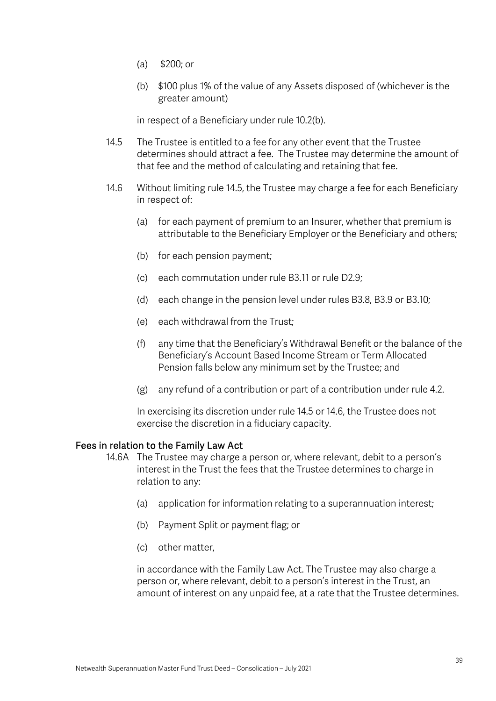- (a) \$200; or
- (b) \$100 plus 1% of the value of any Assets disposed of (whichever is the greater amount)

in respect of a Beneficiary under rule 10.2(b).

- 14.5 The Trustee is entitled to a fee for any other event that the Trustee determines should attract a fee. The Trustee may determine the amount of that fee and the method of calculating and retaining that fee.
- 14.6 Without limiting rule 14.5, the Trustee may charge a fee for each Beneficiary in respect of:
	- (a) for each payment of premium to an Insurer, whether that premium is attributable to the Beneficiary Employer or the Beneficiary and others;
	- (b) for each pension payment;
	- (c) each commutation under rule B3.11 or rule D2.9;
	- (d) each change in the pension level under rules B3.8, B3.9 or B3.10;
	- (e) each withdrawal from the Trust;
	- (f) any time that the Beneficiary's Withdrawal Benefit or the balance of the Beneficiary's Account Based Income Stream or Term Allocated Pension falls below any minimum set by the Trustee; and
	- (g) any refund of a contribution or part of a contribution under rule 4.2.

In exercising its discretion under rule 14.5 or 14.6, the Trustee does not exercise the discretion in a fiduciary capacity.

#### Fees in relation to the Family Law Act

- 14.6A The Trustee may charge a person or, where relevant, debit to a person's interest in the Trust the fees that the Trustee determines to charge in relation to any:
	- (a) application for information relating to a superannuation interest;
	- (b) Payment Split or payment flag; or
	- (c) other matter,

in accordance with the Family Law Act. The Trustee may also charge a person or, where relevant, debit to a person's interest in the Trust, an amount of interest on any unpaid fee, at a rate that the Trustee determines.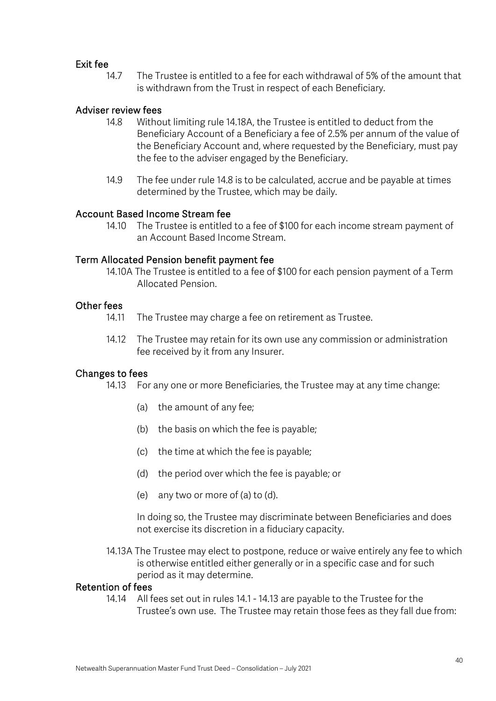#### Exit fee

14.7 The Trustee is entitled to a fee for each withdrawal of 5% of the amount that is withdrawn from the Trust in respect of each Beneficiary.

### Adviser review fees

- 14.8 Without limiting rule 14.18A, the Trustee is entitled to deduct from the Beneficiary Account of a Beneficiary a fee of 2.5% per annum of the value of the Beneficiary Account and, where requested by the Beneficiary, must pay the fee to the adviser engaged by the Beneficiary.
- 14.9 The fee under rule 14.8 is to be calculated, accrue and be payable at times determined by the Trustee, which may be daily.

#### Account Based Income Stream fee

14.10 The Trustee is entitled to a fee of \$100 for each income stream payment of an Account Based Income Stream.

#### Term Allocated Pension benefit payment fee

14.10A The Trustee is entitled to a fee of \$100 for each pension payment of a Term Allocated Pension.

### Other fees

- 14.11 The Trustee may charge a fee on retirement as Trustee.
- 14.12 The Trustee may retain for its own use any commission or administration fee received by it from any Insurer.

#### Changes to fees

- 14.13 For any one or more Beneficiaries, the Trustee may at any time change:
	- (a) the amount of any fee;
	- (b) the basis on which the fee is payable;
	- (c) the time at which the fee is payable;
	- (d) the period over which the fee is payable; or
	- (e) any two or more of (a) to (d).

In doing so, the Trustee may discriminate between Beneficiaries and does not exercise its discretion in a fiduciary capacity.

14.13A The Trustee may elect to postpone, reduce or waive entirely any fee to which is otherwise entitled either generally or in a specific case and for such period as it may determine.

#### Retention of fees

14.14 All fees set out in rules 14.1 - 14.13 are payable to the Trustee for the Trustee's own use. The Trustee may retain those fees as they fall due from: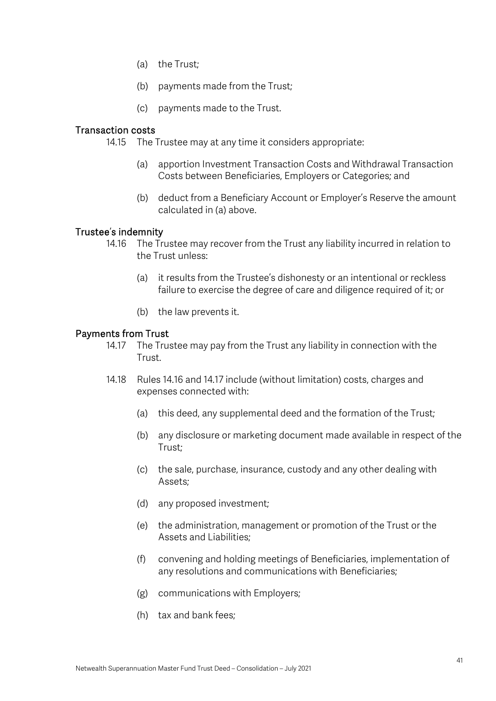- (a) the Trust;
- (b) payments made from the Trust;
- (c) payments made to the Trust.

#### Transaction costs

14.15 The Trustee may at any time it considers appropriate:

- (a) apportion Investment Transaction Costs and Withdrawal Transaction Costs between Beneficiaries, Employers or Categories; and
- (b) deduct from a Beneficiary Account or Employer's Reserve the amount calculated in (a) above.

#### Trustee's indemnity

- 14.16 The Trustee may recover from the Trust any liability incurred in relation to the Trust unless:
	- (a) it results from the Trustee's dishonesty or an intentional or reckless failure to exercise the degree of care and diligence required of it; or
	- (b) the law prevents it.

#### Payments from Trust

- 14.17 The Trustee may pay from the Trust any liability in connection with the Trust.
- 14.18 Rules 14.16 and 14.17 include (without limitation) costs, charges and expenses connected with:
	- (a) this deed, any supplemental deed and the formation of the Trust;
	- (b) any disclosure or marketing document made available in respect of the Trust;
	- (c) the sale, purchase, insurance, custody and any other dealing with Assets;
	- (d) any proposed investment;
	- (e) the administration, management or promotion of the Trust or the Assets and Liabilities;
	- (f) convening and holding meetings of Beneficiaries, implementation of any resolutions and communications with Beneficiaries;
	- (g) communications with Employers;
	- (h) tax and bank fees;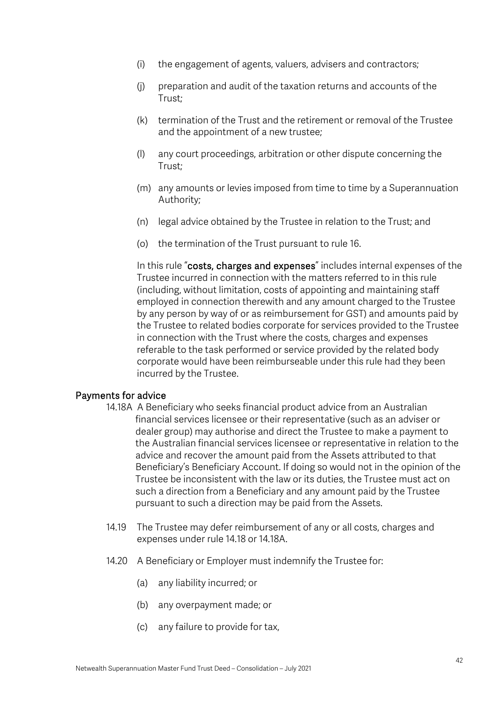- (i) the engagement of agents, valuers, advisers and contractors;
- (j) preparation and audit of the taxation returns and accounts of the Trust;
- (k) termination of the Trust and the retirement or removal of the Trustee and the appointment of a new trustee;
- (l) any court proceedings, arbitration or other dispute concerning the Trust;
- (m) any amounts or levies imposed from time to time by a Superannuation Authority;
- (n) legal advice obtained by the Trustee in relation to the Trust; and
- (o) the termination of the Trust pursuant to rule 16.

In this rule "costs, charges and expenses" includes internal expenses of the Trustee incurred in connection with the matters referred to in this rule (including, without limitation, costs of appointing and maintaining staff employed in connection therewith and any amount charged to the Trustee by any person by way of or as reimbursement for GST) and amounts paid by the Trustee to related bodies corporate for services provided to the Trustee in connection with the Trust where the costs, charges and expenses referable to the task performed or service provided by the related body corporate would have been reimburseable under this rule had they been incurred by the Trustee.

#### Payments for advice

- 14.18A A Beneficiary who seeks financial product advice from an Australian financial services licensee or their representative (such as an adviser or dealer group) may authorise and direct the Trustee to make a payment to the Australian financial services licensee or representative in relation to the advice and recover the amount paid from the Assets attributed to that Beneficiary's Beneficiary Account. If doing so would not in the opinion of the Trustee be inconsistent with the law or its duties, the Trustee must act on such a direction from a Beneficiary and any amount paid by the Trustee pursuant to such a direction may be paid from the Assets.
- 14.19 The Trustee may defer reimbursement of any or all costs, charges and expenses under rule 14.18 or 14.18A.
- 14.20 A Beneficiary or Employer must indemnify the Trustee for:
	- (a) any liability incurred; or
	- (b) any overpayment made; or
	- (c) any failure to provide for tax,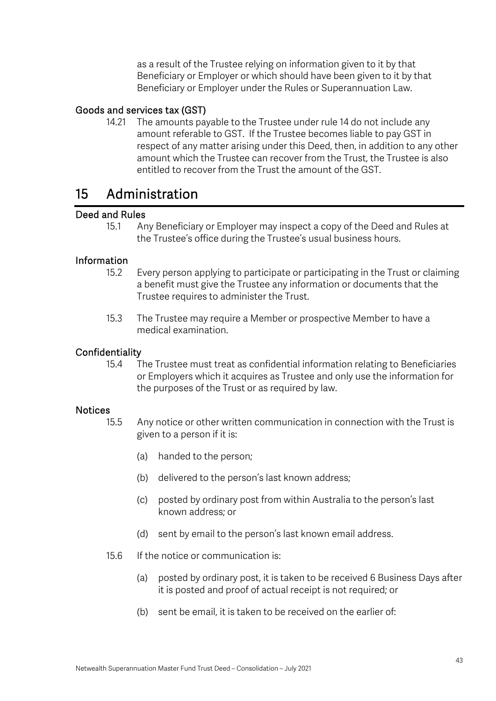as a result of the Trustee relying on information given to it by that Beneficiary or Employer or which should have been given to it by that Beneficiary or Employer under the Rules or Superannuation Law.

## Goods and services tax (GST)

14.21 The amounts payable to the Trustee under rule 14 do not include any amount referable to GST. If the Trustee becomes liable to pay GST in respect of any matter arising under this Deed, then, in addition to any other amount which the Trustee can recover from the Trust, the Trustee is also entitled to recover from the Trust the amount of the GST.

## 15 Administration

### Deed and Rules

15.1 Any Beneficiary or Employer may inspect a copy of the Deed and Rules at the Trustee's office during the Trustee's usual business hours.

## Information

- 15.2 Every person applying to participate or participating in the Trust or claiming a benefit must give the Trustee any information or documents that the Trustee requires to administer the Trust.
- 15.3 The Trustee may require a Member or prospective Member to have a medical examination.

#### Confidentiality

15.4 The Trustee must treat as confidential information relating to Beneficiaries or Employers which it acquires as Trustee and only use the information for the purposes of the Trust or as required by law.

#### **Notices**

- 15.5 Any notice or other written communication in connection with the Trust is given to a person if it is:
	- (a) handed to the person;
	- (b) delivered to the person's last known address;
	- (c) posted by ordinary post from within Australia to the person's last known address; or
	- (d) sent by email to the person's last known email address.
- 15.6 If the notice or communication is:
	- (a) posted by ordinary post, it is taken to be received 6 Business Days after it is posted and proof of actual receipt is not required; or
	- (b) sent be email, it is taken to be received on the earlier of: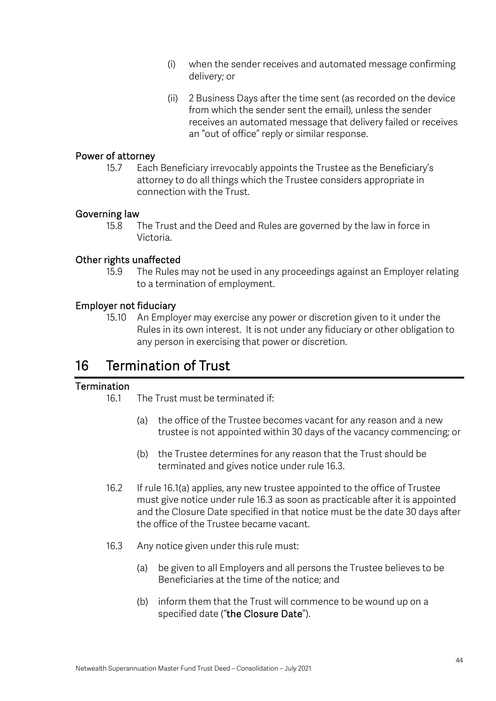- (i) when the sender receives and automated message confirming delivery; or
- (ii) 2 Business Days after the time sent (as recorded on the device from which the sender sent the email), unless the sender receives an automated message that delivery failed or receives an "out of office" reply or similar response.

#### Power of attorney

15.7 Each Beneficiary irrevocably appoints the Trustee as the Beneficiary's attorney to do all things which the Trustee considers appropriate in connection with the Trust.

### Governing law

15.8 The Trust and the Deed and Rules are governed by the law in force in Victoria.

## Other rights unaffected

15.9 The Rules may not be used in any proceedings against an Employer relating to a termination of employment.

### Employer not fiduciary

15.10 An Employer may exercise any power or discretion given to it under the Rules in its own interest. It is not under any fiduciary or other obligation to any person in exercising that power or discretion.

## 16 Termination of Trust

#### Termination

- 16.1 The Trust must be terminated if
	- (a) the office of the Trustee becomes vacant for any reason and a new trustee is not appointed within 30 days of the vacancy commencing; or
	- (b) the Trustee determines for any reason that the Trust should be terminated and gives notice under rule 16.3.
- 16.2 If rule 16.1(a) applies, any new trustee appointed to the office of Trustee must give notice under rule 16.3 as soon as practicable after it is appointed and the Closure Date specified in that notice must be the date 30 days after the office of the Trustee became vacant.
- 16.3 Any notice given under this rule must:
	- (a) be given to all Employers and all persons the Trustee believes to be Beneficiaries at the time of the notice; and
	- (b) inform them that the Trust will commence to be wound up on a specified date ("the Closure Date").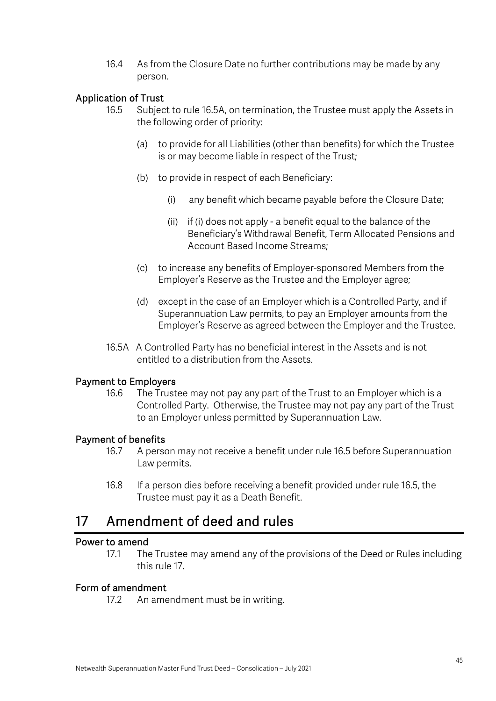16.4 As from the Closure Date no further contributions may be made by any person.

## Application of Trust

- 16.5 Subject to rule 16.5A, on termination, the Trustee must apply the Assets in the following order of priority:
	- (a) to provide for all Liabilities (other than benefits) for which the Trustee is or may become liable in respect of the Trust;
	- (b) to provide in respect of each Beneficiary:
		- (i) any benefit which became payable before the Closure Date;
		- (ii) if (i) does not apply a benefit equal to the balance of the Beneficiary's Withdrawal Benefit, Term Allocated Pensions and Account Based Income Streams;
	- (c) to increase any benefits of Employer-sponsored Members from the Employer's Reserve as the Trustee and the Employer agree;
	- (d) except in the case of an Employer which is a Controlled Party, and if Superannuation Law permits, to pay an Employer amounts from the Employer's Reserve as agreed between the Employer and the Trustee.
- 16.5A A Controlled Party has no beneficial interest in the Assets and is not entitled to a distribution from the Assets.

#### Payment to Employers

16.6 The Trustee may not pay any part of the Trust to an Employer which is a Controlled Party. Otherwise, the Trustee may not pay any part of the Trust to an Employer unless permitted by Superannuation Law.

#### Payment of benefits

- 16.7 A person may not receive a benefit under rule 16.5 before Superannuation Law permits.
- 16.8 If a person dies before receiving a benefit provided under rule 16.5, the Trustee must pay it as a Death Benefit.

## 17 Amendment of deed and rules

#### Power to amend

17.1 The Trustee may amend any of the provisions of the Deed or Rules including this rule 17.

## Form of amendment

17.2 An amendment must be in writing.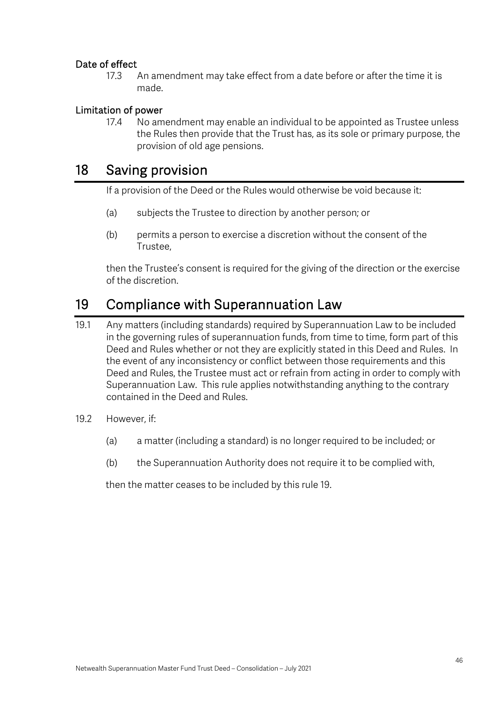## Date of effect

17.3 An amendment may take effect from a date before or after the time it is made.

## Limitation of power

17.4 No amendment may enable an individual to be appointed as Trustee unless the Rules then provide that the Trust has, as its sole or primary purpose, the provision of old age pensions.

## 18 Saving provision

If a provision of the Deed or the Rules would otherwise be void because it:

- (a) subjects the Trustee to direction by another person; or
- (b) permits a person to exercise a discretion without the consent of the Trustee,

then the Trustee's consent is required for the giving of the direction or the exercise of the discretion.

## 19 Compliance with Superannuation Law

- 19.1 Any matters (including standards) required by Superannuation Law to be included in the governing rules of superannuation funds, from time to time, form part of this Deed and Rules whether or not they are explicitly stated in this Deed and Rules. In the event of any inconsistency or conflict between those requirements and this Deed and Rules, the Trustee must act or refrain from acting in order to comply with Superannuation Law. This rule applies notwithstanding anything to the contrary contained in the Deed and Rules.
- 19.2 However, if:
	- (a) a matter (including a standard) is no longer required to be included; or
	- (b) the Superannuation Authority does not require it to be complied with,

then the matter ceases to be included by this rule 19.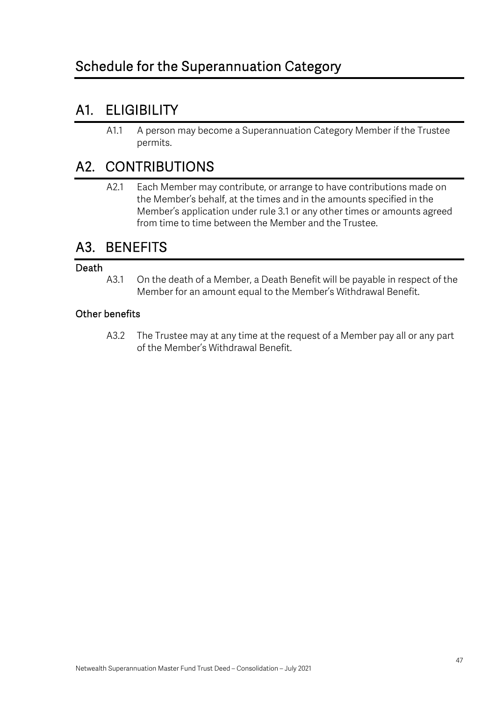## A1. ELIGIBILITY

A1.1 A person may become a Superannuation Category Member if the Trustee permits.

## A2. CONTRIBUTIONS

A2.1 Each Member may contribute, or arrange to have contributions made on the Member's behalf, at the times and in the amounts specified in the Member's application under rule 3.1 or any other times or amounts agreed from time to time between the Member and the Trustee.

## A3. BENEFITS

## Death

A3.1 On the death of a Member, a Death Benefit will be payable in respect of the Member for an amount equal to the Member's Withdrawal Benefit.

## Other benefits

A3.2 The Trustee may at any time at the request of a Member pay all or any part of the Member's Withdrawal Benefit.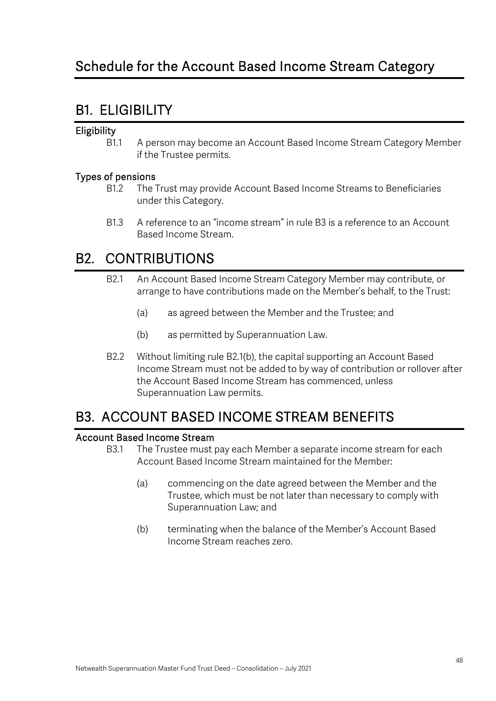## B1. ELIGIBILITY

## **Eligibility**

B1.1 A person may become an Account Based Income Stream Category Member if the Trustee permits.

## Types of pensions

- B1.2 The Trust may provide Account Based Income Streams to Beneficiaries under this Category.
- B1.3 A reference to an "income stream" in rule B3 is a reference to an Account Based Income Stream.

## B2. CONTRIBUTIONS

- B2.1 An Account Based Income Stream Category Member may contribute, or arrange to have contributions made on the Member's behalf, to the Trust:
	- (a) as agreed between the Member and the Trustee; and
	- (b) as permitted by Superannuation Law.
- B2.2 Without limiting rule B2.1(b), the capital supporting an Account Based Income Stream must not be added to by way of contribution or rollover after the Account Based Income Stream has commenced, unless Superannuation Law permits.

## B3. ACCOUNT BASED INCOME STREAM BENEFITS

## Account Based Income Stream

- B3.1 The Trustee must pay each Member a separate income stream for each Account Based Income Stream maintained for the Member:
	- (a) commencing on the date agreed between the Member and the Trustee, which must be not later than necessary to comply with Superannuation Law; and
	- (b) terminating when the balance of the Member's Account Based Income Stream reaches zero.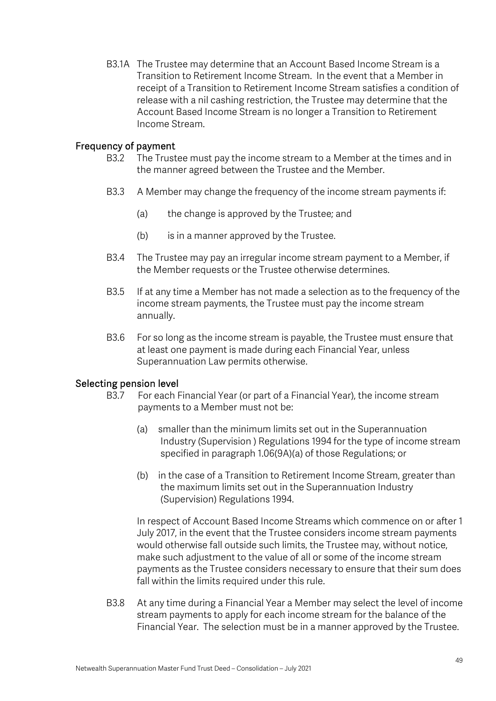B3.1A The Trustee may determine that an Account Based Income Stream is a Transition to Retirement Income Stream. In the event that a Member in receipt of a Transition to Retirement Income Stream satisfies a condition of release with a nil cashing restriction, the Trustee may determine that the Account Based Income Stream is no longer a Transition to Retirement Income Stream.

#### Frequency of payment

- B3.2 The Trustee must pay the income stream to a Member at the times and in the manner agreed between the Trustee and the Member.
- B3.3 A Member may change the frequency of the income stream payments if:
	- (a) the change is approved by the Trustee; and
	- (b) is in a manner approved by the Trustee.
- B3.4 The Trustee may pay an irregular income stream payment to a Member, if the Member requests or the Trustee otherwise determines.
- B3.5 If at any time a Member has not made a selection as to the frequency of the income stream payments, the Trustee must pay the income stream annually.
- B3.6 For so long as the income stream is payable, the Trustee must ensure that at least one payment is made during each Financial Year, unless Superannuation Law permits otherwise.

#### Selecting pension level

- B3.7 For each Financial Year (or part of a Financial Year), the income stream payments to a Member must not be:
	- (a) smaller than the minimum limits set out in the Superannuation Industry (Supervision ) Regulations 1994 for the type of income stream specified in paragraph 1.06(9A)(a) of those Regulations; or
	- (b) in the case of a Transition to Retirement Income Stream, greater than the maximum limits set out in the Superannuation Industry (Supervision) Regulations 1994.

In respect of Account Based Income Streams which commence on or after 1 July 2017, in the event that the Trustee considers income stream payments would otherwise fall outside such limits, the Trustee may, without notice, make such adjustment to the value of all or some of the income stream payments as the Trustee considers necessary to ensure that their sum does fall within the limits required under this rule.

B3.8 At any time during a Financial Year a Member may select the level of income stream payments to apply for each income stream for the balance of the Financial Year. The selection must be in a manner approved by the Trustee.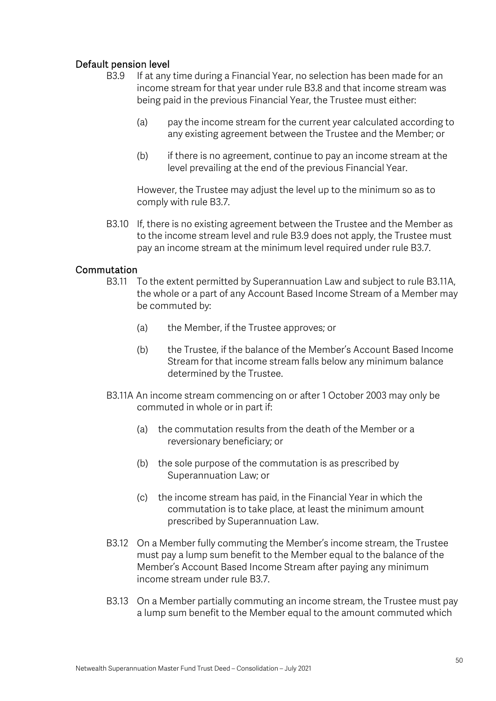## Default pension level

- B3.9 If at any time during a Financial Year, no selection has been made for an income stream for that year under rule B3.8 and that income stream was being paid in the previous Financial Year, the Trustee must either:
	- (a) pay the income stream for the current year calculated according to any existing agreement between the Trustee and the Member; or
	- (b) if there is no agreement, continue to pay an income stream at the level prevailing at the end of the previous Financial Year.

However, the Trustee may adjust the level up to the minimum so as to comply with rule B3.7.

B3.10 If, there is no existing agreement between the Trustee and the Member as to the income stream level and rule B3.9 does not apply, the Trustee must pay an income stream at the minimum level required under rule B3.7.

### **Commutation**

- B3.11 To the extent permitted by Superannuation Law and subject to rule B3.11A, the whole or a part of any Account Based Income Stream of a Member may be commuted by:
	- (a) the Member, if the Trustee approves; or
	- (b) the Trustee, if the balance of the Member's Account Based Income Stream for that income stream falls below any minimum balance determined by the Trustee.
- B3.11A An income stream commencing on or after 1 October 2003 may only be commuted in whole or in part if:
	- (a) the commutation results from the death of the Member or a reversionary beneficiary; or
	- (b) the sole purpose of the commutation is as prescribed by Superannuation Law; or
	- (c) the income stream has paid, in the Financial Year in which the commutation is to take place, at least the minimum amount prescribed by Superannuation Law.
- B3.12 On a Member fully commuting the Member's income stream, the Trustee must pay a lump sum benefit to the Member equal to the balance of the Member's Account Based Income Stream after paying any minimum income stream under rule B3.7.
- B3.13 On a Member partially commuting an income stream, the Trustee must pay a lump sum benefit to the Member equal to the amount commuted which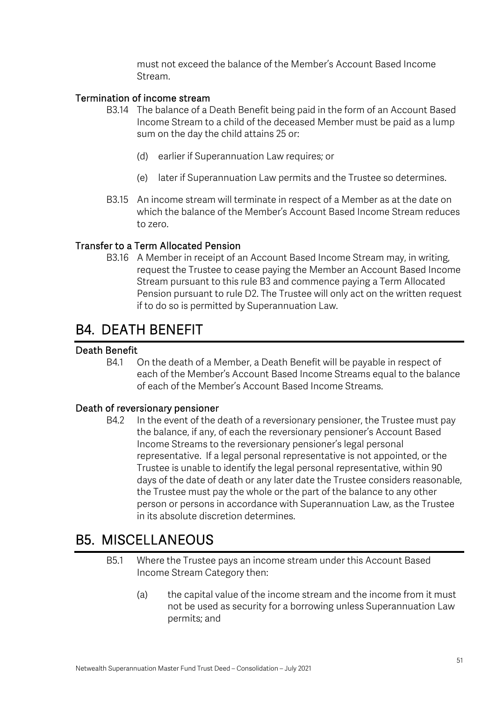must not exceed the balance of the Member's Account Based Income Stream.

### Termination of income stream

- B3.14 The balance of a Death Benefit being paid in the form of an Account Based Income Stream to a child of the deceased Member must be paid as a lump sum on the day the child attains 25 or:
	- (d) earlier if Superannuation Law requires; or
	- (e) later if Superannuation Law permits and the Trustee so determines.
- B3.15 An income stream will terminate in respect of a Member as at the date on which the balance of the Member's Account Based Income Stream reduces to zero.

### Transfer to a Term Allocated Pension

B3.16 A Member in receipt of an Account Based Income Stream may, in writing, request the Trustee to cease paying the Member an Account Based Income Stream pursuant to this rule B3 and commence paying a Term Allocated Pension pursuant to rule D2. The Trustee will only act on the written request if to do so is permitted by Superannuation Law.

## B4. DEATH BENEFIT

## Death Benefit

B4.1 On the death of a Member, a Death Benefit will be payable in respect of each of the Member's Account Based Income Streams equal to the balance of each of the Member's Account Based Income Streams.

#### Death of reversionary pensioner

B4.2 In the event of the death of a reversionary pensioner, the Trustee must pay the balance, if any, of each the reversionary pensioner's Account Based Income Streams to the reversionary pensioner's legal personal representative. If a legal personal representative is not appointed, or the Trustee is unable to identify the legal personal representative, within 90 days of the date of death or any later date the Trustee considers reasonable, the Trustee must pay the whole or the part of the balance to any other person or persons in accordance with Superannuation Law, as the Trustee in its absolute discretion determines.

## B5. MISCELLANEOUS

- B5.1 Where the Trustee pays an income stream under this Account Based Income Stream Category then:
	- (a) the capital value of the income stream and the income from it must not be used as security for a borrowing unless Superannuation Law permits; and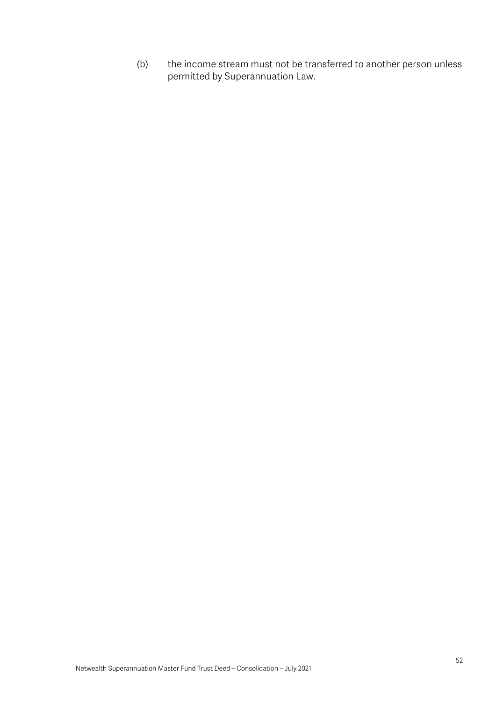(b) the income stream must not be transferred to another person unless permitted by Superannuation Law.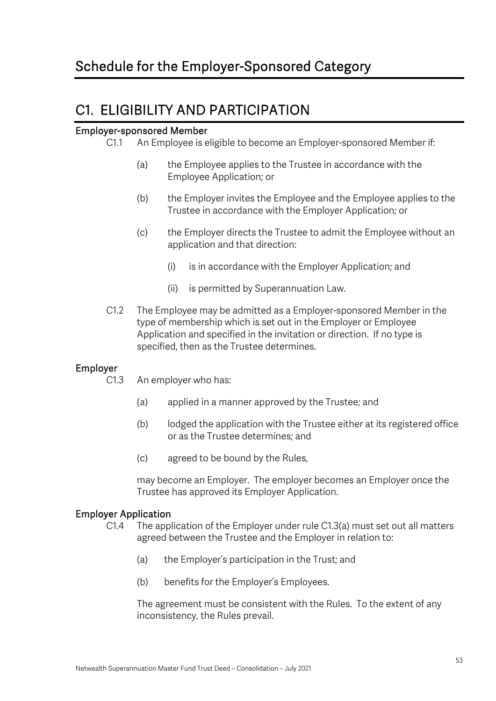## C1. ELIGIBILITY AND PARTICIPATION

### Employer-sponsored Member

- C1.1 An Employee is eligible to become an Employer-sponsored Member if:
	- (a) the Employee applies to the Trustee in accordance with the Employee Application; or
	- (b) the Employer invites the Employee and the Employee applies to the Trustee in accordance with the Employer Application; or
	- (c) the Employer directs the Trustee to admit the Employee without an application and that direction:
		- (i) is in accordance with the Employer Application; and
		- (ii) is permitted by Superannuation Law.
- C1.2 The Employee may be admitted as a Employer-sponsored Member in the type of membership which is set out in the Employer or Employee Application and specified in the invitation or direction. If no type is specified, then as the Trustee determines.

## Employer

- C1.3 An employer who has:
	- (a) applied in a manner approved by the Trustee; and
	- (b) lodged the application with the Trustee either at its registered office or as the Trustee determines; and
	- (c) agreed to be bound by the Rules,

may become an Employer. The employer becomes an Employer once the Trustee has approved its Employer Application.

#### Employer Application

- C1.4 The application of the Employer under rule C1.3(a) must set out all matters agreed between the Trustee and the Employer in relation to:
	- (a) the Employer's participation in the Trust; and
	- (b) benefits for the Employer's Employees.

The agreement must be consistent with the Rules. To the extent of any inconsistency, the Rules prevail.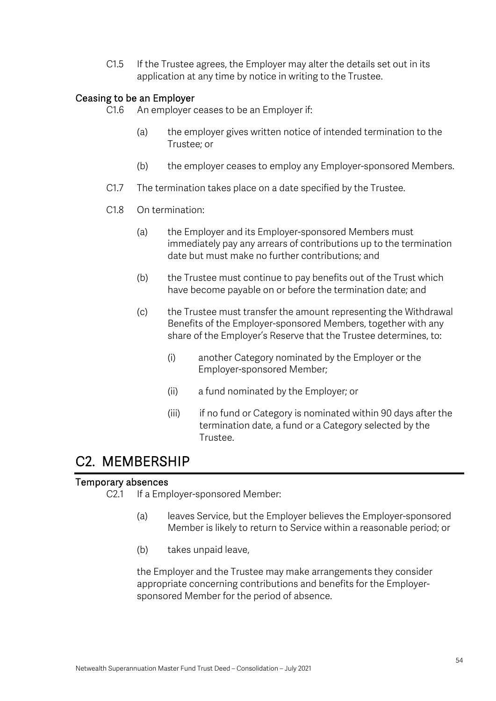C1.5 If the Trustee agrees, the Employer may alter the details set out in its application at any time by notice in writing to the Trustee.

### Ceasing to be an Employer

- C1.6 An employer ceases to be an Employer if:
	- (a) the employer gives written notice of intended termination to the Trustee; or
	- (b) the employer ceases to employ any Employer-sponsored Members.
- C1.7 The termination takes place on a date specified by the Trustee.
- C1.8 On termination:
	- (a) the Employer and its Employer-sponsored Members must immediately pay any arrears of contributions up to the termination date but must make no further contributions; and
	- (b) the Trustee must continue to pay benefits out of the Trust which have become payable on or before the termination date; and
	- (c) the Trustee must transfer the amount representing the Withdrawal Benefits of the Employer-sponsored Members, together with any share of the Employer's Reserve that the Trustee determines, to:
		- (i) another Category nominated by the Employer or the Employer-sponsored Member;
		- (ii) a fund nominated by the Employer; or
		- (iii) if no fund or Category is nominated within 90 days after the termination date, a fund or a Category selected by the Trustee.

## C2. MEMBERSHIP

#### Temporary absences

C2.1 If a Employer-sponsored Member:

- (a) leaves Service, but the Employer believes the Employer-sponsored Member is likely to return to Service within a reasonable period; or
- (b) takes unpaid leave,

the Employer and the Trustee may make arrangements they consider appropriate concerning contributions and benefits for the Employersponsored Member for the period of absence.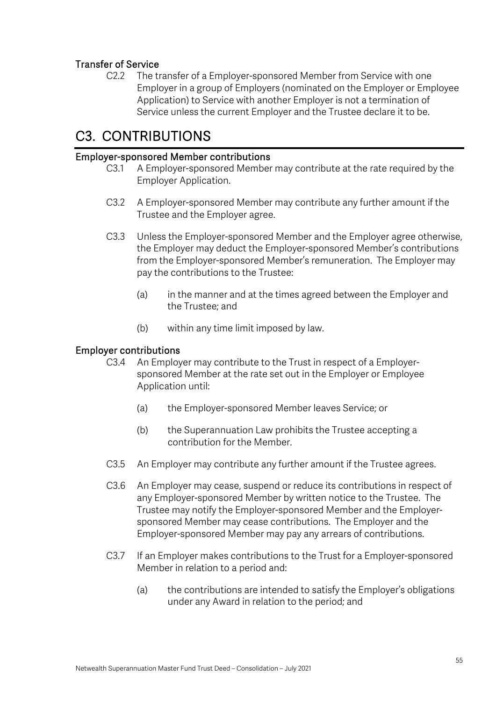## Transfer of Service

C2.2 The transfer of a Employer-sponsored Member from Service with one Employer in a group of Employers (nominated on the Employer or Employee Application) to Service with another Employer is not a termination of Service unless the current Employer and the Trustee declare it to be.

## C3. CONTRIBUTIONS

#### Employer-sponsored Member contributions

- C3.1 A Employer-sponsored Member may contribute at the rate required by the Employer Application.
- C3.2 A Employer-sponsored Member may contribute any further amount if the Trustee and the Employer agree.
- C3.3 Unless the Employer-sponsored Member and the Employer agree otherwise, the Employer may deduct the Employer-sponsored Member's contributions from the Employer-sponsored Member's remuneration. The Employer may pay the contributions to the Trustee:
	- (a) in the manner and at the times agreed between the Employer and the Trustee; and
	- (b) within any time limit imposed by law.

#### Employer contributions

- C3.4 An Employer may contribute to the Trust in respect of a Employersponsored Member at the rate set out in the Employer or Employee Application until:
	- (a) the Employer-sponsored Member leaves Service; or
	- (b) the Superannuation Law prohibits the Trustee accepting a contribution for the Member.
- C3.5 An Employer may contribute any further amount if the Trustee agrees.
- C3.6 An Employer may cease, suspend or reduce its contributions in respect of any Employer-sponsored Member by written notice to the Trustee. The Trustee may notify the Employer-sponsored Member and the Employersponsored Member may cease contributions. The Employer and the Employer-sponsored Member may pay any arrears of contributions.
- C3.7 If an Employer makes contributions to the Trust for a Employer-sponsored Member in relation to a period and:
	- (a) the contributions are intended to satisfy the Employer's obligations under any Award in relation to the period; and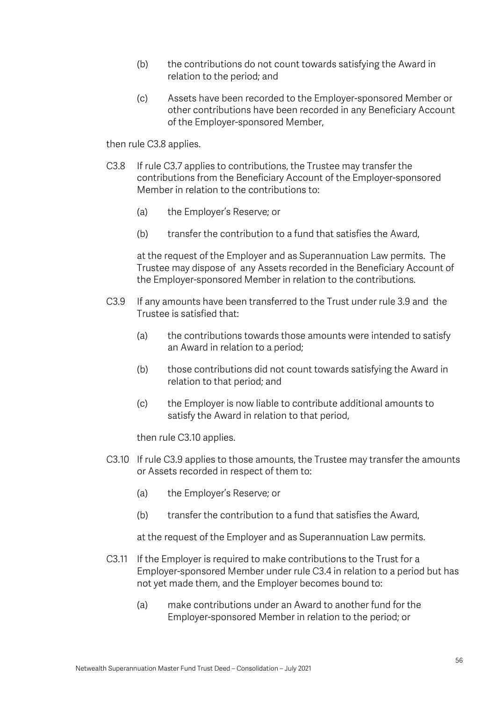- (b) the contributions do not count towards satisfying the Award in relation to the period; and
- (c) Assets have been recorded to the Employer-sponsored Member or other contributions have been recorded in any Beneficiary Account of the Employer-sponsored Member,

then rule C3.8 applies.

- C3.8 If rule C3.7 applies to contributions, the Trustee may transfer the contributions from the Beneficiary Account of the Employer-sponsored Member in relation to the contributions to:
	- (a) the Employer's Reserve; or
	- (b) transfer the contribution to a fund that satisfies the Award,

at the request of the Employer and as Superannuation Law permits. The Trustee may dispose of any Assets recorded in the Beneficiary Account of the Employer-sponsored Member in relation to the contributions.

- C3.9 If any amounts have been transferred to the Trust under rule 3.9 and the Trustee is satisfied that:
	- (a) the contributions towards those amounts were intended to satisfy an Award in relation to a period;
	- (b) those contributions did not count towards satisfying the Award in relation to that period; and
	- (c) the Employer is now liable to contribute additional amounts to satisfy the Award in relation to that period,

then rule C3.10 applies.

- C3.10 If rule C3.9 applies to those amounts, the Trustee may transfer the amounts or Assets recorded in respect of them to:
	- (a) the Employer's Reserve; or
	- (b) transfer the contribution to a fund that satisfies the Award,

at the request of the Employer and as Superannuation Law permits.

- C3.11 If the Employer is required to make contributions to the Trust for a Employer-sponsored Member under rule C3.4 in relation to a period but has not yet made them, and the Employer becomes bound to:
	- (a) make contributions under an Award to another fund for the Employer-sponsored Member in relation to the period; or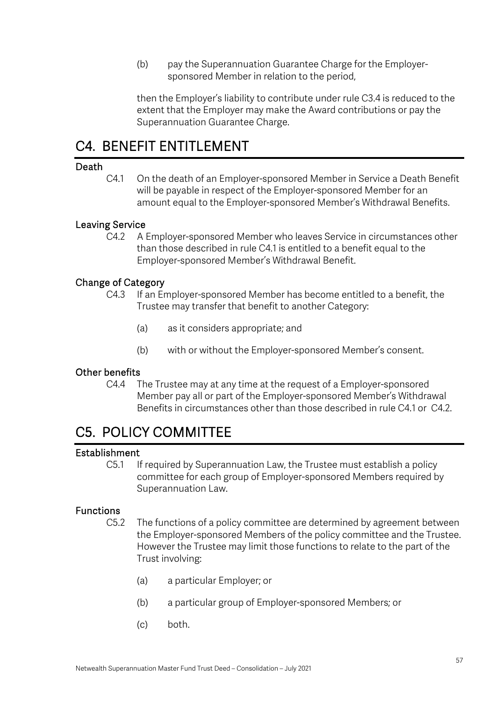(b) pay the Superannuation Guarantee Charge for the Employersponsored Member in relation to the period,

then the Employer's liability to contribute under rule C3.4 is reduced to the extent that the Employer may make the Award contributions or pay the Superannuation Guarantee Charge.

## C4. BENEFIT ENTITLEMENT

#### Death

C4.1 On the death of an Employer-sponsored Member in Service a Death Benefit will be payable in respect of the Employer-sponsored Member for an amount equal to the Employer-sponsored Member's Withdrawal Benefits.

### Leaving Service

C4.2 A Employer-sponsored Member who leaves Service in circumstances other than those described in rule C4.1 is entitled to a benefit equal to the Employer-sponsored Member's Withdrawal Benefit.

### Change of Category

- C4.3 If an Employer-sponsored Member has become entitled to a benefit, the Trustee may transfer that benefit to another Category:
	- (a) as it considers appropriate; and
	- (b) with or without the Employer-sponsored Member's consent.

## Other benefits

C4.4 The Trustee may at any time at the request of a Employer-sponsored Member pay all or part of the Employer-sponsored Member's Withdrawal Benefits in circumstances other than those described in rule C4.1 or C4.2.

## C5. POLICY COMMITTEE

#### Establishment

C5.1 If required by Superannuation Law, the Trustee must establish a policy committee for each group of Employer-sponsored Members required by Superannuation Law.

#### Functions

- C5.2 The functions of a policy committee are determined by agreement between the Employer-sponsored Members of the policy committee and the Trustee. However the Trustee may limit those functions to relate to the part of the Trust involving:
	- (a) a particular Employer; or
	- (b) a particular group of Employer-sponsored Members; or
	- (c) both.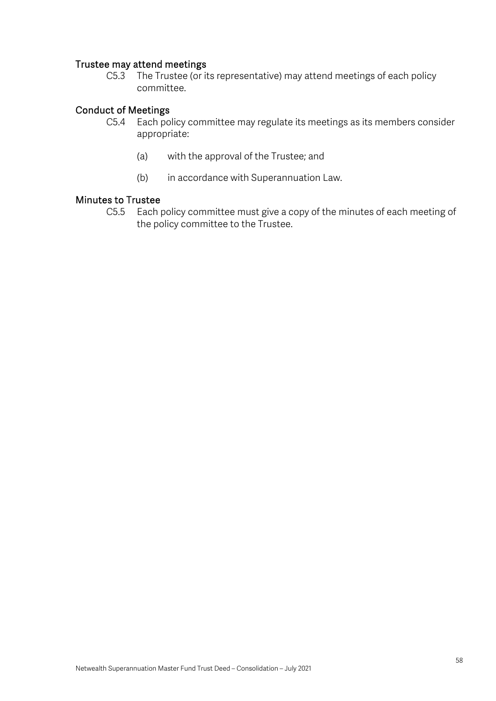### Trustee may attend meetings

C5.3 The Trustee (or its representative) may attend meetings of each policy committee.

### Conduct of Meetings

- C5.4 Each policy committee may regulate its meetings as its members consider appropriate:
	- (a) with the approval of the Trustee; and
	- (b) in accordance with Superannuation Law.

#### Minutes to Trustee

C5.5 Each policy committee must give a copy of the minutes of each meeting of the policy committee to the Trustee.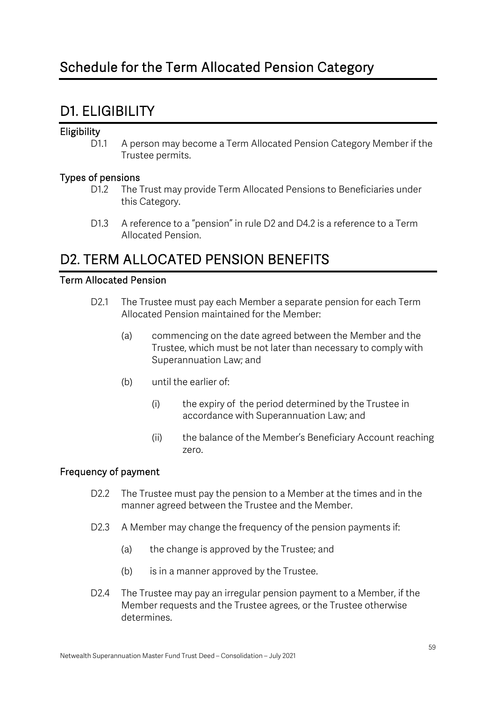## D1. ELIGIBILITY

## **Eligibility**

D1.1 A person may become a Term Allocated Pension Category Member if the Trustee permits.

### Types of pensions

- D1.2 The Trust may provide Term Allocated Pensions to Beneficiaries under this Category.
- D1.3 A reference to a "pension" in rule D2 and D4.2 is a reference to a Term Allocated Pension.

## D2. TERM ALLOCATED PENSION BENEFITS

### Term Allocated Pension

- D2.1 The Trustee must pay each Member a separate pension for each Term Allocated Pension maintained for the Member:
	- (a) commencing on the date agreed between the Member and the Trustee, which must be not later than necessary to comply with Superannuation Law; and
	- (b) until the earlier of:
		- (i) the expiry of the period determined by the Trustee in accordance with Superannuation Law; and
		- (ii) the balance of the Member's Beneficiary Account reaching zero.

## Frequency of payment

- D2.2 The Trustee must pay the pension to a Member at the times and in the manner agreed between the Trustee and the Member.
- D2.3 A Member may change the frequency of the pension payments if:
	- (a) the change is approved by the Trustee; and
	- (b) is in a manner approved by the Trustee.
- D2.4 The Trustee may pay an irregular pension payment to a Member, if the Member requests and the Trustee agrees, or the Trustee otherwise determines.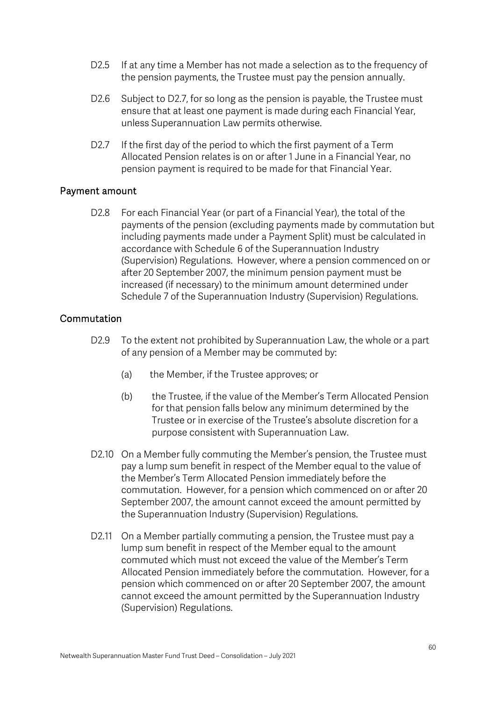- D2.5 If at any time a Member has not made a selection as to the frequency of the pension payments, the Trustee must pay the pension annually.
- D2.6 Subject to D2.7, for so long as the pension is payable, the Trustee must ensure that at least one payment is made during each Financial Year, unless Superannuation Law permits otherwise.
- D2.7 If the first day of the period to which the first payment of a Term Allocated Pension relates is on or after 1 June in a Financial Year, no pension payment is required to be made for that Financial Year.

#### Payment amount

D2.8 For each Financial Year (or part of a Financial Year), the total of the payments of the pension (excluding payments made by commutation but including payments made under a Payment Split) must be calculated in accordance with Schedule 6 of the Superannuation Industry (Supervision) Regulations. However, where a pension commenced on or after 20 September 2007, the minimum pension payment must be increased (if necessary) to the minimum amount determined under Schedule 7 of the Superannuation Industry (Supervision) Regulations.

#### **Commutation**

- D2.9 To the extent not prohibited by Superannuation Law, the whole or a part of any pension of a Member may be commuted by:
	- (a) the Member, if the Trustee approves; or
	- (b) the Trustee, if the value of the Member's Term Allocated Pension for that pension falls below any minimum determined by the Trustee or in exercise of the Trustee's absolute discretion for a purpose consistent with Superannuation Law.
- D2.10 On a Member fully commuting the Member's pension, the Trustee must pay a lump sum benefit in respect of the Member equal to the value of the Member's Term Allocated Pension immediately before the commutation. However, for a pension which commenced on or after 20 September 2007, the amount cannot exceed the amount permitted by the Superannuation Industry (Supervision) Regulations.
- D2.11 On a Member partially commuting a pension, the Trustee must pay a lump sum benefit in respect of the Member equal to the amount commuted which must not exceed the value of the Member's Term Allocated Pension immediately before the commutation. However, for a pension which commenced on or after 20 September 2007, the amount cannot exceed the amount permitted by the Superannuation Industry (Supervision) Regulations.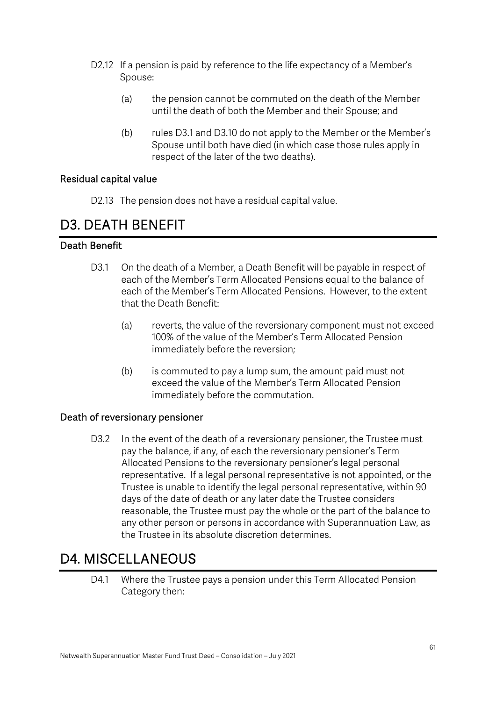- D2.12 If a pension is paid by reference to the life expectancy of a Member's Spouse:
	- (a) the pension cannot be commuted on the death of the Member until the death of both the Member and their Spouse; and
	- (b) rules D3.1 and D3.10 do not apply to the Member or the Member's Spouse until both have died (in which case those rules apply in respect of the later of the two deaths).

### Residual capital value

D2.13 The pension does not have a residual capital value.

## D3. DEATH BENEFIT

## Death Benefit

- D3.1 On the death of a Member, a Death Benefit will be payable in respect of each of the Member's Term Allocated Pensions equal to the balance of each of the Member's Term Allocated Pensions. However, to the extent that the Death Benefit:
	- (a) reverts, the value of the reversionary component must not exceed 100% of the value of the Member's Term Allocated Pension immediately before the reversion;
	- (b) is commuted to pay a lump sum, the amount paid must not exceed the value of the Member's Term Allocated Pension immediately before the commutation.

#### Death of reversionary pensioner

D3.2 In the event of the death of a reversionary pensioner, the Trustee must pay the balance, if any, of each the reversionary pensioner's Term Allocated Pensions to the reversionary pensioner's legal personal representative. If a legal personal representative is not appointed, or the Trustee is unable to identify the legal personal representative, within 90 days of the date of death or any later date the Trustee considers reasonable, the Trustee must pay the whole or the part of the balance to any other person or persons in accordance with Superannuation Law, as the Trustee in its absolute discretion determines.

## D4. MISCELLANEOUS

D4.1 Where the Trustee pays a pension under this Term Allocated Pension Category then: